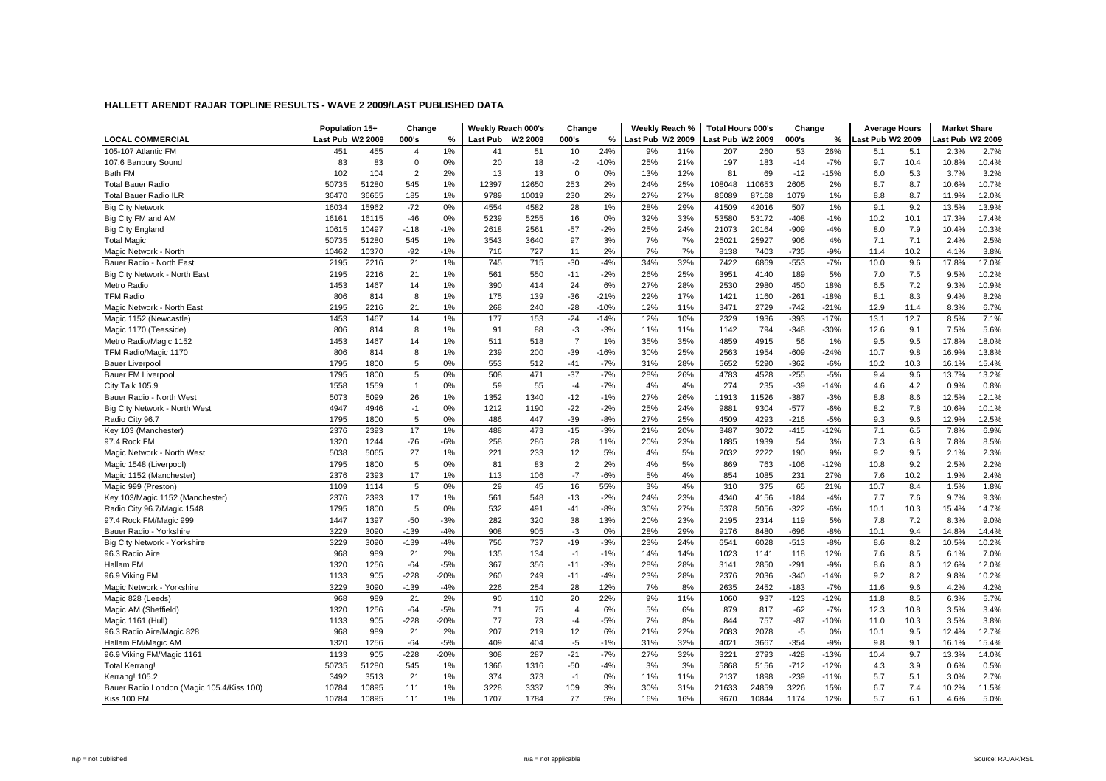|                                           | Population 15+   |       | Change         |        |          | Weekly Reach 000's | Change         |        | Weekly Reach %   |     | <b>Total Hours 000's</b> |        | Change |        | <b>Average Hours</b> |      | <b>Market Share</b> |       |
|-------------------------------------------|------------------|-------|----------------|--------|----------|--------------------|----------------|--------|------------------|-----|--------------------------|--------|--------|--------|----------------------|------|---------------------|-------|
| <b>LOCAL COMMERCIAL</b>                   | Last Pub W2 2009 |       | 000's          | %      | Last Pub | W2 2009            | 000's          | %      | Last Pub W2 2009 |     | Last Pub W2 2009         |        | 000's  | %      | Last Pub W2 2009     |      | ast Pub W2 2009     |       |
| 105-107 Atlantic FM                       | 451              | 455   | $\overline{4}$ | 1%     | 41       | 51                 | 10             | 24%    | 9%               | 11% | 207                      | 260    | 53     | 26%    | 5.1                  | 5.1  | 2.3%                | 2.7%  |
| 107.6 Banbury Sound                       | 83               | 83    | $\mathbf 0$    | 0%     | 20       | 18                 | $-2$           | $-10%$ | 25%              | 21% | 197                      | 183    | $-14$  | $-7%$  | 9.7                  | 10.4 | 10.8%               | 10.4% |
| Bath FM                                   | 102              | 104   | $\overline{2}$ | 2%     | 13       | 13                 | $\mathbf 0$    | 0%     | 13%              | 12% | 81                       | 69     | $-12$  | $-15%$ | 6.0                  | 5.3  | 3.7%                | 3.2%  |
| <b>Total Bauer Radio</b>                  | 50735            | 51280 | 545            | 1%     | 12397    | 12650              | 253            | 2%     | 24%              | 25% | 108048                   | 110653 | 2605   | 2%     | 8.7                  | 8.7  | 10.6%               | 10.7% |
| <b>Total Bauer Radio ILR</b>              | 36470            | 36655 | 185            | 1%     | 9789     | 10019              | 230            | 2%     | 27%              | 27% | 86089                    | 87168  | 1079   | 1%     | 8.8                  | 8.7  | 11.9%               | 12.0% |
| <b>Big City Network</b>                   | 16034            | 15962 | $-72$          | 0%     | 4554     | 4582               | 28             | 1%     | 28%              | 29% | 41509                    | 42016  | 507    | 1%     | 9.1                  | 9.2  | 13.5%               | 13.9% |
| Big City FM and AM                        | 16161            | 16115 | $-46$          | 0%     | 5239     | 5255               | 16             | 0%     | 32%              | 33% | 53580                    | 53172  | $-408$ | $-1%$  | 10.2                 | 10.1 | 17.3%               | 17.4% |
| <b>Big City England</b>                   | 10615            | 10497 | $-118$         | $-1%$  | 2618     | 2561               | $-57$          | $-2%$  | 25%              | 24% | 21073                    | 20164  | $-909$ | $-4%$  | 8.0                  | 7.9  | 10.4%               | 10.3% |
| <b>Total Magic</b>                        | 50735            | 51280 | 545            | 1%     | 3543     | 3640               | 97             | 3%     | 7%               | 7%  | 25021                    | 25927  | 906    | 4%     | 7.1                  | 7.1  | 2.4%                | 2.5%  |
| Magic Network - North                     | 10462            | 10370 | $-92$          | $-1%$  | 716      | 727                | 11             | 2%     | 7%               | 7%  | 8138                     | 7403   | $-735$ | $-9%$  | 11.4                 | 10.2 | 4.1%                | 3.8%  |
| Bauer Radio - North East                  | 2195             | 2216  | 21             | 1%     | 745      | 715                | $-30$          | $-4%$  | 34%              | 32% | 7422                     | 6869   | $-553$ | $-7%$  | 10.0                 | 9.6  | 17.8%               | 17.0% |
| Big City Network - North East             | 2195             | 2216  | 21             | 1%     | 561      | 550                | $-11$          | $-2%$  | 26%              | 25% | 3951                     | 4140   | 189    | 5%     | 7.0                  | 7.5  | 9.5%                | 10.2% |
| Metro Radio                               | 1453             | 1467  | 14             | 1%     | 390      | 414                | 24             | 6%     | 27%              | 28% | 2530                     | 2980   | 450    | 18%    | 6.5                  | 7.2  | 9.3%                | 10.9% |
| <b>TFM Radio</b>                          | 806              | 814   | 8              | 1%     | 175      | 139                | $-36$          | $-21%$ | 22%              | 17% | 1421                     | 1160   | $-261$ | $-18%$ | 8.1                  | 8.3  | 9.4%                | 8.2%  |
| Magic Network - North East                | 2195             | 2216  | 21             | 1%     | 268      | 240                | $-28$          | $-10%$ | 12%              | 11% | 3471                     | 2729   | $-742$ | $-21%$ | 12.9                 | 11.4 | 8.3%                | 6.7%  |
| Magic 1152 (Newcastle)                    | 1453             | 1467  | 14             | 1%     | 177      | 153                | $-24$          | $-14%$ | 12%              | 10% | 2329                     | 1936   | $-393$ | $-17%$ | 13.1                 | 12.7 | 8.5%                | 7.1%  |
| Magic 1170 (Teesside)                     | 806              | 814   | 8              | 1%     | 91       | 88                 | $-3$           | $-3%$  | 11%              | 11% | 1142                     | 794    | $-348$ | $-30%$ | 12.6                 | 9.1  | 7.5%                | 5.6%  |
| Metro Radio/Magic 1152                    | 1453             | 1467  | 14             | 1%     | 511      | 518                | $\overline{7}$ | 1%     | 35%              | 35% | 4859                     | 4915   | 56     | 1%     | 9.5                  | 9.5  | 17.8%               | 18.0% |
| TFM Radio/Magic 1170                      | 806              | 814   | 8              | 1%     | 239      | 200                | $-39$          | $-16%$ | 30%              | 25% | 2563                     | 1954   | $-609$ | $-24%$ | 10.7                 | 9.8  | 16.9%               | 13.8% |
| <b>Bauer Liverpool</b>                    | 1795             | 1800  | 5              | 0%     | 553      | 512                | $-41$          | $-7%$  | 31%              | 28% | 5652                     | 5290   | $-362$ | $-6%$  | 10.2                 | 10.3 | 16.1%               | 15.4% |
| <b>Bauer FM Liverpool</b>                 | 1795             | 1800  | 5              | 0%     | 508      | 471                | $-37$          | $-7%$  | 28%              | 26% | 4783                     | 4528   | $-255$ | $-5%$  | 9.4                  | 9.6  | 13.7%               | 13.2% |
| City Talk 105.9                           | 1558             | 1559  | $\mathbf{1}$   | 0%     | 59       | 55                 | $-4$           | $-7%$  | 4%               | 4%  | 274                      | 235    | $-39$  | $-14%$ | 4.6                  | 4.2  | 0.9%                | 0.8%  |
| Bauer Radio - North West                  | 5073             | 5099  | 26             | 1%     | 1352     | 1340               | $-12$          | $-1%$  | 27%              | 26% | 11913                    | 11526  | $-387$ | $-3%$  | 8.8                  | 8.6  | 12.5%               | 12.1% |
| Big City Network - North West             | 4947             | 4946  | $-1$           | 0%     | 1212     | 1190               | $-22$          | $-2%$  | 25%              | 24% | 9881                     | 9304   | $-577$ | $-6%$  | 8.2                  | 7.8  | 10.6%               | 10.1% |
| Radio City 96.7                           | 1795             | 1800  | 5              | 0%     | 486      | 447                | $-39$          | $-8%$  | 27%              | 25% | 4509                     | 4293   | $-216$ | $-5%$  | 9.3                  | 9.6  | 12.9%               | 12.5% |
| Key 103 (Manchester)                      | 2376             | 2393  | 17             | 1%     | 488      | 473                | $-15$          | $-3%$  | 21%              | 20% | 3487                     | 3072   | $-415$ | $-12%$ | 7.1                  | 6.5  | 7.8%                | 6.9%  |
| 97.4 Rock FM                              | 1320             | 1244  | $-76$          | $-6%$  | 258      | 286                | 28             | 11%    | 20%              | 23% | 1885                     | 1939   | 54     | 3%     | 7.3                  | 6.8  | 7.8%                | 8.5%  |
| Magic Network - North West                | 5038             | 5065  | 27             | 1%     | 221      | 233                | 12             | 5%     | 4%               | 5%  | 2032                     | 2222   | 190    | 9%     | 9.2                  | 9.5  | 2.1%                | 2.3%  |
| Magic 1548 (Liverpool)                    | 1795             | 1800  | 5              | 0%     | 81       | 83                 | $\overline{2}$ | 2%     | 4%               | 5%  | 869                      | 763    | $-106$ | $-12%$ | 10.8                 | 9.2  | 2.5%                | 2.2%  |
| Magic 1152 (Manchester)                   | 2376             | 2393  | 17             | 1%     | 113      | 106                | $-7$           | $-6%$  | 5%               | 4%  | 854                      | 1085   | 231    | 27%    | 7.6                  | 10.2 | 1.9%                | 2.4%  |
| Magic 999 (Preston)                       | 1109             | 1114  | 5              | 0%     | 29       | 45                 | 16             | 55%    | 3%               | 4%  | 310                      | 375    | 65     | 21%    | 10.7                 | 8.4  | 1.5%                | 1.8%  |
| Key 103/Magic 1152 (Manchester)           | 2376             | 2393  | 17             | 1%     | 561      | 548                | $-13$          | $-2%$  | 24%              | 23% | 4340                     | 4156   | $-184$ | $-4%$  | 7.7                  | 7.6  | 9.7%                | 9.3%  |
| Radio City 96.7/Magic 1548                | 1795             | 1800  | 5              | 0%     | 532      | 491                | $-41$          | $-8%$  | 30%              | 27% | 5378                     | 5056   | $-322$ | $-6%$  | 10.1                 | 10.3 | 15.4%               | 14.7% |
| 97.4 Rock FM/Magic 999                    | 1447             | 1397  | $-50$          | $-3%$  | 282      | 320                | 38             | 13%    | 20%              | 23% | 2195                     | 2314   | 119    | 5%     | 7.8                  | 7.2  | 8.3%                | 9.0%  |
| Bauer Radio - Yorkshire                   | 3229             | 3090  | $-139$         | $-4%$  | 908      | 905                | $-3$           | 0%     | 28%              | 29% | 9176                     | 8480   | $-696$ | $-8%$  | 10.1                 | 9.4  | 14.8%               | 14.4% |
| Big City Network - Yorkshire              | 3229             | 3090  | $-139$         | $-4%$  | 756      | 737                | $-19$          | $-3%$  | 23%              | 24% | 6541                     | 6028   | $-513$ | $-8%$  | 8.6                  | 8.2  | 10.5%               | 10.2% |
| 96.3 Radio Aire                           | 968              | 989   | 21             | 2%     | 135      | 134                | $-1$           | $-1%$  | 14%              | 14% | 1023                     | 1141   | 118    | 12%    | 7.6                  | 8.5  | 6.1%                | 7.0%  |
| Hallam FM                                 | 1320             | 1256  | $-64$          | $-5%$  | 367      | 356                | $-11$          | $-3%$  | 28%              | 28% | 3141                     | 2850   | $-291$ | $-9%$  | 8.6                  | 8.0  | 12.6%               | 12.0% |
| 96.9 Viking FM                            | 1133             | 905   | $-228$         | $-20%$ | 260      | 249                | $-11$          | $-4%$  | 23%              | 28% | 2376                     | 2036   | $-340$ | $-14%$ | 9.2                  | 8.2  | 9.8%                | 10.2% |
| Magic Network - Yorkshire                 | 3229             | 3090  | $-139$         | $-4%$  | 226      | 254                | 28             | 12%    | 7%               | 8%  | 2635                     | 2452   | $-183$ | $-7%$  | 11.6                 | 9.6  | 4.2%                | 4.2%  |
| Magic 828 (Leeds)                         | 968              | 989   | 21             | 2%     | 90       | 110                | 20             | 22%    | 9%               | 11% | 1060                     | 937    | $-123$ | $-12%$ | 11.8                 | 8.5  | 6.3%                | 5.7%  |
| Magic AM (Sheffield)                      | 1320             | 1256  | $-64$          | $-5%$  | 71       | 75                 | $\overline{4}$ | 6%     | 5%               | 6%  | 879                      | 817    | $-62$  | $-7%$  | 12.3                 | 10.8 | 3.5%                | 3.4%  |
| Magic 1161 (Hull)                         | 1133             | 905   | $-228$         | $-20%$ | 77       | 73                 | $-4$           | $-5%$  | 7%               | 8%  | 844                      | 757    | $-87$  | $-10%$ | 11.0                 | 10.3 | 3.5%                | 3.8%  |
| 96.3 Radio Aire/Magic 828                 | 968              | 989   | 21             | 2%     | 207      | 219                | 12             | 6%     | 21%              | 22% | 2083                     | 2078   | $-5$   | 0%     | 10.1                 | 9.5  | 12.4%               | 12.7% |
| Hallam FM/Magic AM                        | 1320             | 1256  | $-64$          | $-5%$  | 409      | 404                | $-5$           | $-1%$  | 31%              | 32% | 4021                     | 3667   | $-354$ | $-9%$  | 9.8                  | 9.1  | 16.1%               | 15.4% |
| 96.9 Viking FM/Magic 1161                 | 1133             | 905   | $-228$         | $-20%$ | 308      | 287                | $-21$          | $-7%$  | 27%              | 32% | 3221                     | 2793   | $-428$ | $-13%$ | 10.4                 | 9.7  | 13.3%               | 14.0% |
| <b>Total Kerrang!</b>                     | 50735            | 51280 | 545            | 1%     | 1366     | 1316               | $-50$          | $-4%$  | 3%               | 3%  | 5868                     | 5156   | $-712$ | $-12%$ | 4.3                  | 3.9  | 0.6%                | 0.5%  |
| Kerrang! 105.2                            | 3492             | 3513  | 21             | 1%     | 374      | 373                | $-1$           | 0%     | 11%              | 11% | 2137                     | 1898   | $-239$ | $-11%$ | 5.7                  | 5.1  | 3.0%                | 2.7%  |
| Bauer Radio London (Magic 105.4/Kiss 100) | 10784            | 10895 | 111            | 1%     | 3228     | 3337               | 109            | 3%     | 30%              | 31% | 21633                    | 24859  | 3226   | 15%    | 6.7                  | 7.4  | 10.2%               | 11.5% |
| Kiss 100 FM                               | 10784            | 10895 | 111            | 1%     | 1707     | 1784               | 77             | 5%     | 16%              | 16% | 9670                     | 10844  | 1174   | 12%    | 5.7                  | 6.1  | 4.6%                | 5.0%  |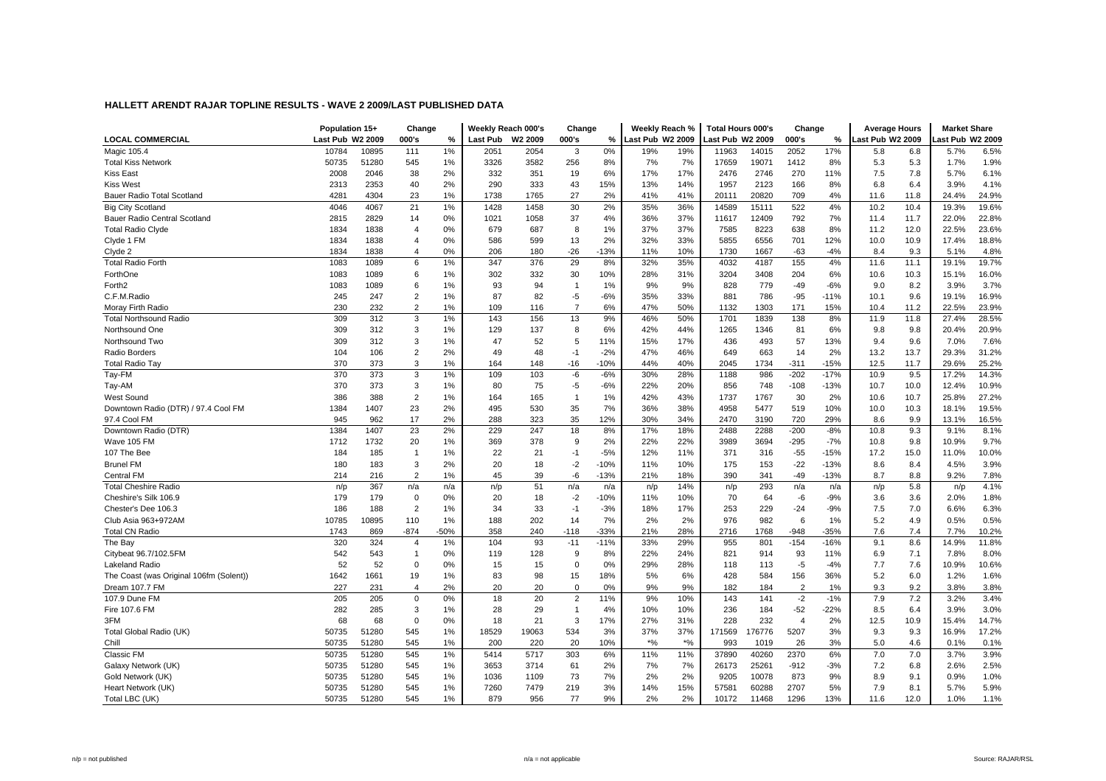|                                         | Population 15+   |       | Change         |        |          | Weekly Reach 000's | Change         |        | Weekly Reach %   |       | <b>Total Hours 000's</b> |        | Change         |        | <b>Average Hours</b> |      | <b>Market Share</b> |       |
|-----------------------------------------|------------------|-------|----------------|--------|----------|--------------------|----------------|--------|------------------|-------|--------------------------|--------|----------------|--------|----------------------|------|---------------------|-------|
| <b>LOCAL COMMERCIAL</b>                 | Last Pub W2 2009 |       | 000's          | $\%$   | Last Pub | W2 2009            | 000's          | %      | Last Pub W2 2009 |       | Last Pub W2 2009         |        | 000's          | $\%$   | Last Pub W2 2009     |      | ast Pub W2 2009     |       |
| <b>Magic 105.4</b>                      | 10784            | 10895 | 111            | $1\%$  | 2051     | 2054               | 3              | 0%     | 19%              | 19%   | 11963                    | 14015  | 2052           | 17%    | 5.8                  | 6.8  | 5.7%                | 6.5%  |
| <b>Total Kiss Network</b>               | 50735            | 51280 | 545            | 1%     | 3326     | 3582               | 256            | 8%     | 7%               | 7%    | 17659                    | 19071  | 1412           | 8%     | 5.3                  | 5.3  | 1.7%                | 1.9%  |
| <b>Kiss East</b>                        | 2008             | 2046  | 38             | 2%     | 332      | 351                | 19             | 6%     | 17%              | 17%   | 2476                     | 2746   | 270            | 11%    | 7.5                  | 7.8  | 5.7%                | 6.1%  |
| <b>Kiss West</b>                        | 2313             | 2353  | 40             | 2%     | 290      | 333                | 43             | 15%    | 13%              | 14%   | 1957                     | 2123   | 166            | 8%     | 6.8                  | 6.4  | 3.9%                | 4.1%  |
| Bauer Radio Total Scotland              | 4281             | 4304  | 23             | 1%     | 1738     | 1765               | 27             | 2%     | 41%              | 41%   | 20111                    | 20820  | 709            | 4%     | 11.6                 | 11.8 | 24.4%               | 24.9% |
| <b>Big City Scotland</b>                | 4046             | 4067  | 21             | $1\%$  | 1428     | 1458               | 30             | 2%     | 35%              | 36%   | 14589                    | 15111  | 522            | 4%     | 10.2                 | 10.4 | 19.3%               | 19.6% |
| Bauer Radio Central Scotland            | 2815             | 2829  | 14             | 0%     | 1021     | 1058               | 37             | 4%     | 36%              | 37%   | 11617                    | 12409  | 792            | 7%     | 11.4                 | 11.7 | 22.0%               | 22.8% |
| <b>Total Radio Clyde</b>                | 1834             | 1838  | $\overline{4}$ | 0%     | 679      | 687                | 8              | 1%     | 37%              | 37%   | 7585                     | 8223   | 638            | 8%     | 11.2                 | 12.0 | 22.5%               | 23.6% |
| Clyde 1 FM                              | 1834             | 1838  | $\overline{4}$ | 0%     | 586      | 599                | 13             | 2%     | 32%              | 33%   | 5855                     | 6556   | 701            | 12%    | 10.0                 | 10.9 | 17.4%               | 18.8% |
| Clyde 2                                 | 1834             | 1838  | $\overline{4}$ | 0%     | 206      | 180                | $-26$          | $-13%$ | 11%              | 10%   | 1730                     | 1667   | $-63$          | $-4%$  | 8.4                  | 9.3  | 5.1%                | 4.8%  |
| <b>Total Radio Forth</b>                | 1083             | 1089  | 6              | 1%     | 347      | 376                | 29             | 8%     | 32%              | 35%   | 4032                     | 4187   | 155            | 4%     | 11.6                 | 11.1 | 19.1%               | 19.7% |
| ForthOne                                | 1083             | 1089  | 6              | 1%     | 302      | 332                | 30             | 10%    | 28%              | 31%   | 3204                     | 3408   | 204            | 6%     | 10.6                 | 10.3 | 15.1%               | 16.0% |
| Forth <sub>2</sub>                      | 1083             | 1089  | 6              | 1%     | 93       | 94                 | $\mathbf{1}$   | 1%     | 9%               | 9%    | 828                      | 779    | -49            | $-6%$  | 9.0                  | 8.2  | 3.9%                | 3.7%  |
| C.F.M.Radio                             | 245              | 247   | $\sqrt{2}$     | 1%     | 87       | 82                 | $-5$           | $-6%$  | 35%              | 33%   | 881                      | 786    | $-95$          | $-11%$ | 10.1                 | 9.6  | 19.1%               | 16.9% |
| Moray Firth Radio                       | 230              | 232   | $\overline{2}$ | 1%     | 109      | 116                | $\overline{7}$ | 6%     | 47%              | 50%   | 1132                     | 1303   | 171            | 15%    | 10.4                 | 11.2 | 22.5%               | 23.9% |
| <b>Total Northsound Radio</b>           | 309              | 312   | 3              | 1%     | 143      | 156                | 13             | 9%     | 46%              | 50%   | 1701                     | 1839   | 138            | 8%     | 11.9                 | 11.8 | 27.4%               | 28.5% |
| Northsound One                          | 309              | 312   | 3              | 1%     | 129      | 137                | 8              | 6%     | 42%              | 44%   | 1265                     | 1346   | 81             | 6%     | 9.8                  | 9.8  | 20.4%               | 20.9% |
| Northsound Two                          | 309              | 312   | 3              | 1%     | 47       | 52                 | 5              | 11%    | 15%              | 17%   | 436                      | 493    | 57             | 13%    | 9.4                  | 9.6  | 7.0%                | 7.6%  |
| Radio Borders                           | 104              | 106   | $\sqrt{2}$     | 2%     | 49       | 48                 | $-1$           | $-2%$  | 47%              | 46%   | 649                      | 663    | 14             | 2%     | 13.2                 | 13.7 | 29.3%               | 31.2% |
| <b>Total Radio Tay</b>                  | 370              | 373   | 3              | 1%     | 164      | 148                | $-16$          | $-10%$ | 44%              | 40%   | 2045                     | 1734   | $-311$         | $-15%$ | 12.5                 | 11.7 | 29.6%               | 25.2% |
| Tay-FM                                  | 370              | 373   | 3              | 1%     | 109      | 103                | -6             | $-6%$  | 30%              | 28%   | 1188                     | 986    | $-202$         | $-17%$ | 10.9                 | 9.5  | 17.2%               | 14.3% |
| Tay-AM                                  | 370              | 373   | 3              | 1%     | 80       | 75                 | $-5$           | $-6%$  | 22%              | 20%   | 856                      | 748    | $-108$         | $-13%$ | 10.7                 | 10.0 | 12.4%               | 10.9% |
| West Sound                              | 386              | 388   | $\overline{2}$ | 1%     | 164      | 165                | $\mathbf{1}$   | 1%     | 42%              | 43%   | 1737                     | 1767   | 30             | 2%     | 10.6                 | 10.7 | 25.8%               | 27.2% |
| Downtown Radio (DTR) / 97.4 Cool FM     | 1384             | 1407  | 23             | 2%     | 495      | 530                | 35             | 7%     | 36%              | 38%   | 4958                     | 5477   | 519            | 10%    | 10.0                 | 10.3 | 18.1%               | 19.5% |
| 97.4 Cool FM                            | 945              | 962   | 17             | 2%     | 288      | 323                | 35             | 12%    | 30%              | 34%   | 2470                     | 3190   | 720            | 29%    | 8.6                  | 9.9  | 13.1%               | 16.5% |
| Downtown Radio (DTR)                    | 1384             | 1407  | 23             | 2%     | 229      | 247                | 18             | 8%     | 17%              | 18%   | 2488                     | 2288   | $-200$         | $-8%$  | 10.8                 | 9.3  | 9.1%                | 8.1%  |
| Wave 105 FM                             | 1712             | 1732  | 20             | 1%     | 369      | 378                | 9              | 2%     | 22%              | 22%   | 3989                     | 3694   | $-295$         | $-7%$  | 10.8                 | 9.8  | 10.9%               | 9.7%  |
| 107 The Bee                             | 184              | 185   | $\overline{1}$ | 1%     | 22       | 21                 | $-1$           | $-5%$  | 12%              | 11%   | 371                      | 316    | $-55$          | $-15%$ | 17.2                 | 15.0 | 11.0%               | 10.0% |
| <b>Brunel FM</b>                        | 180              | 183   | 3              | 2%     | 20       | 18                 | $-2$           | $-10%$ | 11%              | 10%   | 175                      | 153    | $-22$          | $-13%$ | 8.6                  | 8.4  | 4.5%                | 3.9%  |
| <b>Central FM</b>                       | 214              | 216   | $\overline{2}$ | 1%     | 45       | 39                 | -6             | $-13%$ | 21%              | 18%   | 390                      | 341    | -49            | $-13%$ | 8.7                  | 8.8  | 9.2%                | 7.8%  |
| <b>Total Cheshire Radio</b>             | n/p              | 367   | n/a            | n/a    | n/p      | 51                 | n/a            | n/a    | n/p              | 14%   | n/p                      | 293    | n/a            | n/a    | n/p                  | 5.8  | n/p                 | 4.1%  |
| Cheshire's Silk 106.9                   | 179              | 179   | $\mathbf 0$    | 0%     | 20       | 18                 | $-2$           | $-10%$ | 11%              | 10%   | 70                       | 64     | -6             | -9%    | 3.6                  | 3.6  | 2.0%                | 1.8%  |
| Chester's Dee 106.3                     | 186              | 188   | $\overline{2}$ | 1%     | 34       | 33                 | $-1$           | $-3%$  | 18%              | 17%   | 253                      | 229    | $-24$          | $-9%$  | 7.5                  | 7.0  | 6.6%                | 6.3%  |
| Club Asia 963+972AM                     | 10785            | 10895 | 110            | 1%     | 188      | 202                | 14             | 7%     | 2%               | 2%    | 976                      | 982    | 6              | 1%     | 5.2                  | 4.9  | 0.5%                | 0.5%  |
| <b>Total CN Radio</b>                   | 1743             | 869   | $-874$         | $-50%$ | 358      | 240                | $-118$         | $-33%$ | 21%              | 28%   | 2716                     | 1768   | $-948$         | $-35%$ | 7.6                  | 7.4  | 7.7%                | 10.2% |
| The Bay                                 | 320              | 324   | $\overline{4}$ | 1%     | 104      | 93                 | $-11$          | $-11%$ | 33%              | 29%   | 955                      | 801    | $-154$         | $-16%$ | 9.1                  | 8.6  | 14.9%               | 11.8% |
| Citybeat 96.7/102.5FM                   | 542              | 543   | $\mathbf{1}$   | 0%     | 119      | 128                | 9              | 8%     | 22%              | 24%   | 821                      | 914    | 93             | 11%    | 6.9                  | 7.1  | 7.8%                | 8.0%  |
| Lakeland Radio                          | 52               | 52    | $\mathbf 0$    | 0%     | 15       | 15                 | $\Omega$       | 0%     | 29%              | 28%   | 118                      | 113    | $-5$           | $-4%$  | 7.7                  | 7.6  | 10.9%               | 10.6% |
| The Coast (was Original 106fm (Solent)) | 1642             | 1661  | 19             | 1%     | 83       | 98                 | 15             | 18%    | 5%               | 6%    | 428                      | 584    | 156            | 36%    | 5.2                  | 6.0  | 1.2%                | 1.6%  |
| Dream 107.7 FM                          | 227              | 231   | $\overline{4}$ | 2%     | 20       | 20                 | $\Omega$       | 0%     | 9%               | 9%    | 182                      | 184    | $\overline{2}$ | 1%     | 9.3                  | 9.2  | 3.8%                | 3.8%  |
| 107.9 Dune FM                           | 205              | 205   | $\mathbf 0$    | 0%     | 18       | 20                 | $\overline{2}$ | 11%    | 9%               | 10%   | 143                      | 141    | $-2$           | $-1%$  | 7.9                  | 7.2  | 3.2%                | 3.4%  |
| Fire 107.6 FM                           | 282              | 285   | 3              | 1%     | 28       | 29                 | $\mathbf{1}$   | 4%     | 10%              | 10%   | 236                      | 184    | $-52$          | $-22%$ | 8.5                  | 6.4  | 3.9%                | 3.0%  |
| 3FM                                     | 68               | 68    | $\Omega$       | 0%     | 18       | 21                 | 3              | 17%    | 27%              | 31%   | 228                      | 232    | $\overline{4}$ | 2%     | 12.5                 | 10.9 | 15.4%               | 14.7% |
| Total Global Radio (UK)                 | 50735            | 51280 | 545            | 1%     | 18529    | 19063              | 534            | 3%     | 37%              | 37%   | 171569                   | 176776 | 5207           | 3%     | 9.3                  | 9.3  | 16.9%               | 17.2% |
| Chill                                   | 50735            | 51280 | 545            | 1%     | 200      | 220                | 20             | 10%    | $*$ %            | $*$ % | 993                      | 1019   | 26             | 3%     | 5.0                  | 4.6  | 0.1%                | 0.1%  |
| Classic FM                              | 50735            | 51280 | 545            | $1\%$  | 5414     | 5717               | 303            | 6%     | 11%              | 11%   | 37890                    | 40260  | 2370           | 6%     | 7.0                  | 7.0  | 3.7%                | 3.9%  |
| Galaxy Network (UK)                     | 50735            | 51280 | 545            | 1%     | 3653     | 3714               | 61             | 2%     | 7%               | 7%    | 26173                    | 25261  | $-912$         | $-3%$  | 7.2                  | 6.8  | 2.6%                | 2.5%  |
| Gold Network (UK)                       | 50735            | 51280 | 545            | 1%     | 1036     | 1109               | 73             | 7%     | 2%               | 2%    | 9205                     | 10078  | 873            | 9%     | 8.9                  | 9.1  | 0.9%                | 1.0%  |
| Heart Network (UK)                      | 50735            | 51280 | 545            | 1%     | 7260     | 7479               | 219            | 3%     | 14%              | 15%   | 57581                    | 60288  | 2707           | 5%     | 7.9                  | 8.1  | 5.7%                | 5.9%  |
| Total LBC (UK)                          | 50735            | 51280 | 545            | 1%     | 879      | 956                | 77             | 9%     | 2%               | 2%    | 10172                    | 11468  | 1296           | 13%    | 11.6                 | 12.0 | 1.0%                | 1.1%  |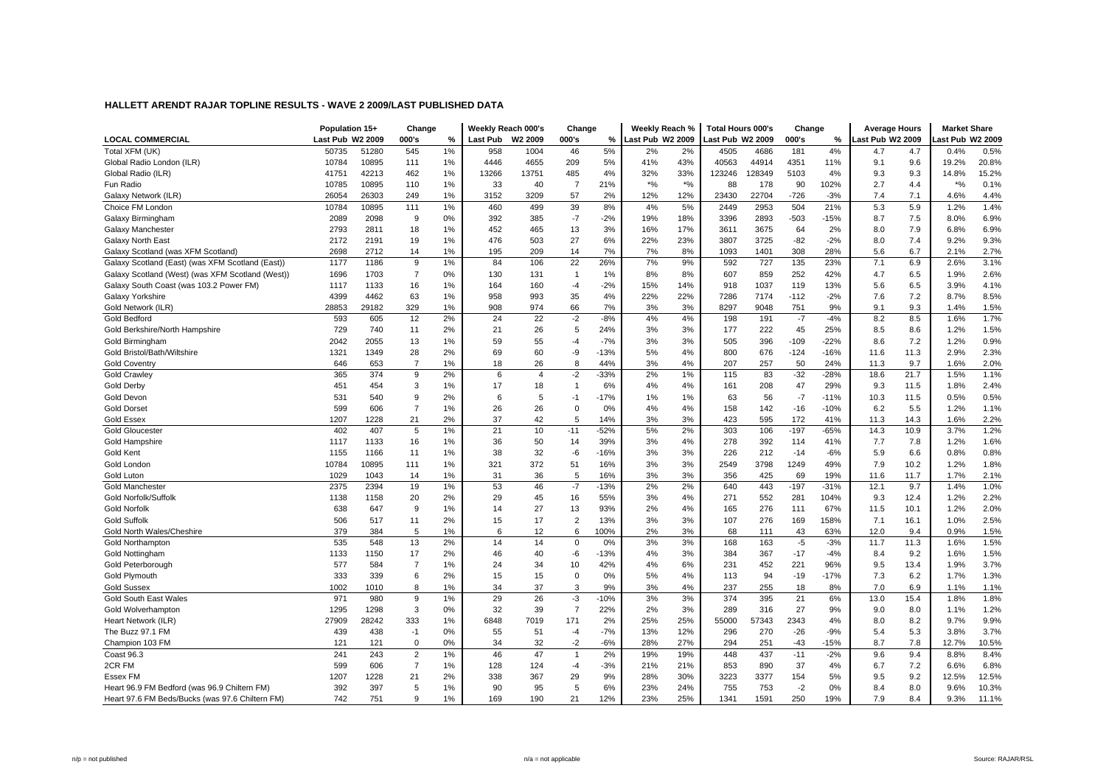|                                                  | Population 15+   |       | Change         |    | Weekly Reach 000's |                | Change         |        | Weekly Reach %   |       | Total Hours 000's |        | Change |        | <b>Average Hours</b> |      | <b>Market Share</b> |       |
|--------------------------------------------------|------------------|-------|----------------|----|--------------------|----------------|----------------|--------|------------------|-------|-------------------|--------|--------|--------|----------------------|------|---------------------|-------|
| <b>LOCAL COMMERCIAL</b>                          | Last Pub W2 2009 |       | 000's          | %  | Last Pub           | W2 2009        | 000's          | %      | Last Pub W2 2009 |       | Last Pub W2 2009  |        | 000's  | %      | Last Pub W2 2009     |      | ast Pub W2 2009     |       |
| Total XFM (UK)                                   | 50735            | 51280 | 545            | 1% | 958                | 1004           | 46             | 5%     | 2%               | 2%    | 4505              | 4686   | 181    | 4%     | 4.7                  | 4.7  | 0.4%                | 0.5%  |
| Global Radio London (ILR)                        | 10784            | 10895 | 111            | 1% | 4446               | 4655           | 209            | 5%     | 41%              | 43%   | 40563             | 44914  | 4351   | 11%    | 9.1                  | 9.6  | 19.2%               | 20.8% |
| Global Radio (ILR)                               | 41751            | 42213 | 462            | 1% | 13266              | 13751          | 485            | 4%     | 32%              | 33%   | 123246            | 128349 | 5103   | 4%     | 9.3                  | 9.3  | 14.8%               | 15.2% |
| Fun Radio                                        | 10785            | 10895 | 110            | 1% | 33                 | 40             | $\overline{7}$ | 21%    | $*$ %            | $*$ % | 88                | 178    | 90     | 102%   | 2.7                  | 4.4  | $*$ %               | 0.1%  |
| Galaxy Network (ILR)                             | 26054            | 26303 | 249            | 1% | 3152               | 3209           | 57             | 2%     | 12%              | 12%   | 23430             | 22704  | $-726$ | $-3%$  | 7.4                  | 7.1  | 4.6%                | 4.4%  |
| Choice FM London                                 | 10784            | 10895 | 111            | 1% | 460                | 499            | 39             | 8%     | 4%               | 5%    | 2449              | 2953   | 504    | 21%    | 5.3                  | 5.9  | 1.2%                | 1.4%  |
| Galaxy Birmingham                                | 2089             | 2098  | 9              | 0% | 392                | 385            | $-7$           | $-2%$  | 19%              | 18%   | 3396              | 2893   | $-503$ | $-15%$ | 8.7                  | 7.5  | 8.0%                | 6.9%  |
| Galaxy Manchester                                | 2793             | 2811  | 18             | 1% | 452                | 465            | 13             | 3%     | 16%              | 17%   | 3611              | 3675   | 64     | 2%     | 8.0                  | 7.9  | 6.8%                | 6.9%  |
| Galaxy North East                                | 2172             | 2191  | 19             | 1% | 476                | 503            | 27             | 6%     | 22%              | 23%   | 3807              | 3725   | $-82$  | $-2%$  | 8.0                  | 7.4  | 9.2%                | 9.3%  |
| Galaxy Scotland (was XFM Scotland)               | 2698             | 2712  | 14             | 1% | 195                | 209            | 14             | 7%     | 7%               | 8%    | 1093              | 1401   | 308    | 28%    | 5.6                  | 6.7  | 2.1%                | 2.7%  |
| Galaxy Scotland (East) (was XFM Scotland (East)) | 1177             | 1186  | 9              | 1% | 84                 | 106            | 22             | 26%    | 7%               | 9%    | 592               | 727    | 135    | 23%    | 7.1                  | 6.9  | 2.6%                | 3.1%  |
| Galaxy Scotland (West) (was XFM Scotland (West)) | 1696             | 1703  | $\overline{7}$ | 0% | 130                | 131            | $\overline{1}$ | 1%     | 8%               | 8%    | 607               | 859    | 252    | 42%    | 4.7                  | 6.5  | 1.9%                | 2.6%  |
| Galaxy South Coast (was 103.2 Power FM)          | 1117             | 1133  | 16             | 1% | 164                | 160            | $-4$           | $-2%$  | 15%              | 14%   | 918               | 1037   | 119    | 13%    | 5.6                  | 6.5  | 3.9%                | 4.1%  |
| Galaxy Yorkshire                                 | 4399             | 4462  | 63             | 1% | 958                | 993            | 35             | 4%     | 22%              | 22%   | 7286              | 7174   | $-112$ | $-2%$  | 7.6                  | 7.2  | 8.7%                | 8.5%  |
| Gold Network (ILR)                               | 28853            | 29182 | 329            | 1% | 908                | 974            | 66             | 7%     | 3%               | 3%    | 8297              | 9048   | 751    | 9%     | 9.1                  | 9.3  | 1.4%                | 1.5%  |
| Gold Bedford                                     | 593              | 605   | 12             | 2% | 24                 | 22             | $-2$           | $-8%$  | 4%               | 4%    | 198               | 191    | $-7$   | $-4%$  | 8.2                  | 8.5  | 1.6%                | 1.7%  |
| Gold Berkshire/North Hampshire                   | 729              | 740   | 11             | 2% | 21                 | 26             | 5              | 24%    | 3%               | 3%    | 177               | 222    | 45     | 25%    | 8.5                  | 8.6  | 1.2%                | 1.5%  |
| Gold Birmingham                                  | 2042             | 2055  | 13             | 1% | 59                 | 55             | $-4$           | $-7%$  | 3%               | 3%    | 505               | 396    | $-109$ | $-22%$ | 8.6                  | 7.2  | 1.2%                | 0.9%  |
| Gold Bristol/Bath/Wiltshire                      | 1321             | 1349  | 28             | 2% | 69                 | 60             | -9             | $-13%$ | 5%               | 4%    | 800               | 676    | $-124$ | $-16%$ | 11.6                 | 11.3 | 2.9%                | 2.3%  |
| <b>Gold Coventry</b>                             | 646              | 653   | $\overline{7}$ | 1% | 18                 | 26             | 8              | 44%    | 3%               | 4%    | 207               | 257    | 50     | 24%    | 11.3                 | 9.7  | 1.6%                | 2.0%  |
| Gold Crawley                                     | 365              | 374   | 9              | 2% | 6                  | $\overline{4}$ | $-2$           | $-33%$ | 2%               | 1%    | 115               | 83     | $-32$  | $-28%$ | 18.6                 | 21.7 | 1.5%                | 1.1%  |
| <b>Gold Derby</b>                                | 451              | 454   | 3              | 1% | 17                 | 18             | $\overline{1}$ | 6%     | 4%               | 4%    | 161               | 208    | 47     | 29%    | 9.3                  | 11.5 | 1.8%                | 2.4%  |
| Gold Devon                                       | 531              | 540   | 9              | 2% | 6                  | 5              | $-1$           | $-17%$ | 1%               | 1%    | 63                | 56     | $-7$   | $-11%$ | 10.3                 | 11.5 | 0.5%                | 0.5%  |
| <b>Gold Dorset</b>                               | 599              | 606   | $\overline{7}$ | 1% | 26                 | 26             | $\mathbf 0$    | 0%     | 4%               | 4%    | 158               | 142    | $-16$  | $-10%$ | 6.2                  | 5.5  | 1.2%                | 1.1%  |
| <b>Gold Essex</b>                                | 1207             | 1228  | 21             | 2% | 37                 | 42             | 5              | 14%    | 3%               | 3%    | 423               | 595    | 172    | 41%    | 11.3                 | 14.3 | 1.6%                | 2.2%  |
| <b>Gold Gloucester</b>                           | 402              | 407   | 5              | 1% | 21                 | 10             | $-11$          | $-52%$ | 5%               | 2%    | 303               | 106    | $-197$ | $-65%$ | 14.3                 | 10.9 | 3.7%                | 1.2%  |
| Gold Hampshire                                   | 1117             | 1133  | 16             | 1% | 36                 | 50             | 14             | 39%    | 3%               | 4%    | 278               | 392    | 114    | 41%    | 7.7                  | 7.8  | 1.2%                | 1.6%  |
| Gold Kent                                        | 1155             | 1166  | 11             | 1% | 38                 | 32             | $-6$           | $-16%$ | 3%               | 3%    | 226               | 212    | $-14$  | $-6%$  | 5.9                  | 6.6  | 0.8%                | 0.8%  |
| Gold London                                      | 10784            | 10895 | 111            | 1% | 321                | 372            | 51             | 16%    | 3%               | 3%    | 2549              | 3798   | 1249   | 49%    | 7.9                  | 10.2 | 1.2%                | 1.8%  |
| Gold Luton                                       | 1029             | 1043  | 14             | 1% | 31                 | 36             | 5              | 16%    | 3%               | 3%    | 356               | 425    | 69     | 19%    | 11.6                 | 11.7 | 1.7%                | 2.1%  |
| <b>Gold Manchester</b>                           | 2375             | 2394  | 19             | 1% | 53                 | 46             | $-7$           | $-13%$ | 2%               | 2%    | 640               | 443    | $-197$ | $-31%$ | 12.1                 | 9.7  | 1.4%                | 1.0%  |
| Gold Norfolk/Suffolk                             | 1138             | 1158  | 20             | 2% | 29                 | 45             | 16             | 55%    | 3%               | 4%    | 271               | 552    | 281    | 104%   | 9.3                  | 12.4 | 1.2%                | 2.2%  |
| <b>Gold Norfolk</b>                              | 638              | 647   | 9              | 1% | 14                 | 27             | 13             | 93%    | 2%               | 4%    | 165               | 276    | 111    | 67%    | 11.5                 | 10.1 | 1.2%                | 2.0%  |
| <b>Gold Suffolk</b>                              | 506              | 517   | 11             | 2% | 15                 | 17             | $\overline{2}$ | 13%    | 3%               | 3%    | 107               | 276    | 169    | 158%   | 7.1                  | 16.1 | 1.0%                | 2.5%  |
| Gold North Wales/Cheshire                        | 379              | 384   | 5              | 1% | 6                  | 12             | 6              | 100%   | 2%               | 3%    | 68                | 111    | 43     | 63%    | 12.0                 | 9.4  | 0.9%                | 1.5%  |
| <b>Gold Northampton</b>                          | 535              | 548   | 13             | 2% | 14                 | 14             | $\Omega$       | 0%     | 3%               | 3%    | 168               | 163    | $-5$   | $-3%$  | 11.7                 | 11.3 | 1.6%                | 1.5%  |
| Gold Nottingham                                  | 1133             | 1150  | 17             | 2% | 46                 | 40             | -6             | $-13%$ | 4%               | 3%    | 384               | 367    | $-17$  | $-4%$  | 8.4                  | 9.2  | 1.6%                | 1.5%  |
| Gold Peterborough                                | 577              | 584   | $\overline{7}$ | 1% | 24                 | 34             | 10             | 42%    | 4%               | 6%    | 231               | 452    | 221    | 96%    | 9.5                  | 13.4 | 1.9%                | 3.7%  |
| Gold Plymouth                                    | 333              | 339   | 6              | 2% | 15                 | 15             | $\Omega$       | 0%     | 5%               | 4%    | 113               | 94     | $-19$  | $-17%$ | 7.3                  | 6.2  | 1.7%                | 1.3%  |
| <b>Gold Sussex</b>                               | 1002             | 1010  | 8              | 1% | 34                 | 37             | 3              | 9%     | 3%               | 4%    | 237               | 255    | 18     | 8%     | 7.0                  | 6.9  | 1.1%                | 1.1%  |
| <b>Gold South East Wales</b>                     | 971              | 980   | 9              | 1% | 29                 | 26             | $-3$           | $-10%$ | 3%               | 3%    | 374               | 395    | 21     | 6%     | 13.0                 | 15.4 | 1.8%                | 1.8%  |
| Gold Wolverhamptor                               | 1295             | 1298  | 3              | 0% | 32                 | 39             | $\overline{7}$ | 22%    | 2%               | 3%    | 289               | 316    | 27     | 9%     | 9.0                  | 8.0  | 1.1%                | 1.2%  |
| Heart Network (ILR)                              | 27909            | 28242 | 333            | 1% | 6848               | 7019           | 171            | 2%     | 25%              | 25%   | 55000             | 57343  | 2343   | 4%     | 8.0                  | 8.2  | 9.7%                | 9.9%  |
| The Buzz 97.1 FM                                 | 439              | 438   | $-1$           | 0% | 55                 | 51             | $-4$           | $-7%$  | 13%              | 12%   | 296               | 270    | $-26$  | $-9%$  | 5.4                  | 5.3  | 3.8%                | 3.7%  |
| Champion 103 FM                                  | 121              | 121   | $\mathbf 0$    | 0% | 34                 | 32             | $-2$           | $-6%$  | 28%              | 27%   | 294               | 251    | $-43$  | $-15%$ | 8.7                  | 7.8  | 12.7%               | 10.5% |
| Coast 96.3                                       | 241              | 243   | $\overline{2}$ | 1% | 46                 | 47             | $\overline{1}$ | 2%     | 19%              | 19%   | 448               | 437    | $-11$  | $-2%$  | 9.6                  | 9.4  | 8.8%                | 8.4%  |
| 2CR FM                                           | 599              | 606   | $\overline{7}$ | 1% | 128                | 124            | $-4$           | $-3%$  | 21%              | 21%   | 853               | 890    | 37     | 4%     | 6.7                  | 7.2  | 6.6%                | 6.8%  |
| Essex FM                                         | 1207             | 1228  | 21             | 2% | 338                | 367            | 29             | 9%     | 28%              | 30%   | 3223              | 3377   | 154    | 5%     | 9.5                  | 9.2  | 12.5%               | 12.5% |
| Heart 96.9 FM Bedford (was 96.9 Chiltern FM)     | 392              | 397   | 5              | 1% | 90                 | 95             | 5              | 6%     | 23%              | 24%   | 755               | 753    | $-2$   | 0%     | 8.4                  | 8.0  | 9.6%                | 10.3% |
| Heart 97.6 FM Beds/Bucks (was 97.6 Chiltern FM)  | 742              | 751   | 9              | 1% | 169                | 190            | 21             | 12%    | 23%              | 25%   | 1341              | 1591   | 250    | 19%    | 7.9                  | 8.4  | 9.3%                | 11.1% |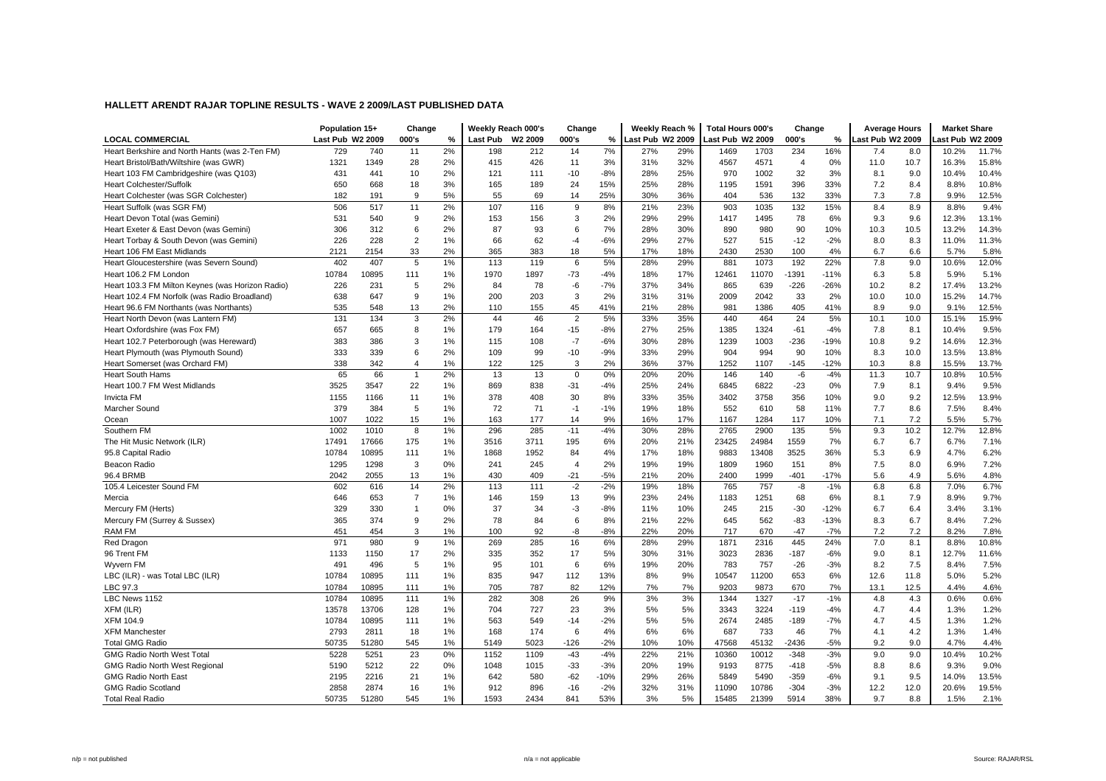|                                                  | Population 15+   |       | Change         |    |                 | Weekly Reach 000's | Change         |        | Weekly Reach %   |     | <b>Total Hours 000's</b> |       | Change         |        | <b>Average Hours</b> |      | <b>Market Share</b> |       |
|--------------------------------------------------|------------------|-------|----------------|----|-----------------|--------------------|----------------|--------|------------------|-----|--------------------------|-------|----------------|--------|----------------------|------|---------------------|-------|
| <b>LOCAL COMMERCIAL</b>                          | Last Pub W2 2009 |       | 000's          | %  | <b>Last Pub</b> | W2 2009            | 000's          | %      | Last Pub W2 2009 |     | Last Pub W2 2009         |       | 000's          | %      | Last Pub W2 2009     |      | ast Pub W2 2009     |       |
| Heart Berkshire and North Hants (was 2-Ten FM)   | 729              | 740   | 11             | 2% | 198             | 212                | 14             | 7%     | 27%              | 29% | 1469                     | 1703  | 234            | 16%    | 7.4                  | 8.0  | 10.2%               | 11.7% |
| Heart Bristol/Bath/Wiltshire (was GWR)           | 1321             | 1349  | 28             | 2% | 415             | 426                | 11             | 3%     | 31%              | 32% | 4567                     | 4571  | $\overline{4}$ | 0%     | 11.0                 | 10.7 | 16.3%               | 15.8% |
| Heart 103 FM Cambridgeshire (was Q103)           | 431              | 441   | 10             | 2% | 121             | 111                | $-10$          | $-8%$  | 28%              | 25% | 970                      | 1002  | 32             | 3%     | 8.1                  | 9.0  | 10.4%               | 10.4% |
| <b>Heart Colchester/Suffolk</b>                  | 650              | 668   | 18             | 3% | 165             | 189                | 24             | 15%    | 25%              | 28% | 1195                     | 1591  | 396            | 33%    | 7.2                  | 8.4  | 8.8%                | 10.8% |
| Heart Colchester (was SGR Colchester)            | 182              | 191   | 9              | 5% | 55              | 69                 | 14             | 25%    | 30%              | 36% | 404                      | 536   | 132            | 33%    | 7.3                  | 7.8  | 9.9%                | 12.5% |
| Heart Suffolk (was SGR FM)                       | 506              | 517   | 11             | 2% | 107             | 116                | 9              | 8%     | 21%              | 23% | 903                      | 1035  | 132            | 15%    | 8.4                  | 8.9  | 8.8%                | 9.4%  |
| Heart Devon Total (was Gemini)                   | 531              | 540   | 9              | 2% | 153             | 156                | 3              | 2%     | 29%              | 29% | 1417                     | 1495  | 78             | 6%     | 9.3                  | 9.6  | 12.3%               | 13.1% |
| Heart Exeter & East Devon (was Gemini)           | 306              | 312   | 6              | 2% | 87              | 93                 | 6              | 7%     | 28%              | 30% | 890                      | 980   | 90             | 10%    | 10.3                 | 10.5 | 13.2%               | 14.3% |
| Heart Torbay & South Devon (was Gemini)          | 226              | 228   | $\sqrt{2}$     | 1% | 66              | 62                 | $-4$           | $-6%$  | 29%              | 27% | 527                      | 515   | $-12$          | $-2%$  | 8.0                  | 8.3  | 11.0%               | 11.3% |
| Heart 106 FM East Midlands                       | 2121             | 2154  | 33             | 2% | 365             | 383                | 18             | 5%     | 17%              | 18% | 2430                     | 2530  | 100            | 4%     | 6.7                  | 6.6  | 5.7%                | 5.8%  |
| Heart Gloucestershire (was Severn Sound)         | 402              | 407   | $\sqrt{5}$     | 1% | 113             | 119                | 6              | 5%     | 28%              | 29% | 881                      | 1073  | 192            | 22%    | 7.8                  | 9.0  | 10.6%               | 12.0% |
| Heart 106.2 FM London                            | 10784            | 10895 | 111            | 1% | 1970            | 1897               | $-73$          | $-4%$  | 18%              | 17% | 12461                    | 11070 | $-1391$        | $-11%$ | 6.3                  | 5.8  | 5.9%                | 5.1%  |
| Heart 103.3 FM Milton Keynes (was Horizon Radio) | 226              | 231   | $\,$ 5 $\,$    | 2% | 84              | 78                 | $-6$           | $-7%$  | 37%              | 34% | 865                      | 639   | $-226$         | $-26%$ | 10.2                 | 8.2  | 17.4%               | 13.2% |
| Heart 102.4 FM Norfolk (was Radio Broadland)     | 638              | 647   | 9              | 1% | 200             | 203                | 3              | 2%     | 31%              | 31% | 2009                     | 2042  | 33             | 2%     | 10.0                 | 10.0 | 15.2%               | 14.7% |
| Heart 96.6 FM Northants (was Northants)          | 535              | 548   | 13             | 2% | 110             | 155                | 45             | 41%    | 21%              | 28% | 981                      | 1386  | 405            | 41%    | 8.9                  | 9.0  | 9.1%                | 12.5% |
| Heart North Devon (was Lantern FM)               | 131              | 134   | 3              | 2% | 44              | 46                 | $\overline{2}$ | 5%     | 33%              | 35% | 440                      | 464   | 24             | 5%     | 10.1                 | 10.0 | 15.1%               | 15.9% |
| Heart Oxfordshire (was Fox FM)                   | 657              | 665   | 8              | 1% | 179             | 164                | $-15$          | $-8%$  | 27%              | 25% | 1385                     | 1324  | $-61$          | $-4%$  | 7.8                  | 8.1  | 10.4%               | 9.5%  |
| Heart 102.7 Peterborough (was Hereward)          | 383              | 386   | 3              | 1% | 115             | 108                | $-7$           | $-6%$  | 30%              | 28% | 1239                     | 1003  | $-236$         | $-19%$ | 10.8                 | 9.2  | 14.6%               | 12.3% |
| Heart Plymouth (was Plymouth Sound)              | 333              | 339   | 6              | 2% | 109             | 99                 | $-10$          | $-9%$  | 33%              | 29% | 904                      | 994   | 90             | 10%    | 8.3                  | 10.0 | 13.5%               | 13.8% |
| Heart Somerset (was Orchard FM)                  | 338              | 342   | $\overline{4}$ | 1% | 122             | 125                | 3              | 2%     | 36%              | 37% | 1252                     | 1107  | $-145$         | $-12%$ | 10.3                 | 8.8  | 15.5%               | 13.7% |
| <b>Heart South Hams</b>                          | 65               | 66    | $\mathbf{1}$   | 2% | 13              | 13                 | $\mathbf 0$    | 0%     | 20%              | 20% | 146                      | 140   | -6             | $-4%$  | 11.3                 | 10.7 | 10.8%               | 10.5% |
| Heart 100.7 FM West Midlands                     | 3525             | 3547  | 22             | 1% | 869             | 838                | $-31$          | $-4%$  | 25%              | 24% | 6845                     | 6822  | $-23$          | 0%     | 7.9                  | 8.1  | 9.4%                | 9.5%  |
| Invicta FM                                       | 1155             | 1166  | 11             | 1% | 378             | 408                | 30             | 8%     | 33%              | 35% | 3402                     | 3758  | 356            | 10%    | 9.0                  | 9.2  | 12.5%               | 13.9% |
| Marcher Sound                                    | 379              | 384   | $\,$ 5 $\,$    | 1% | 72              | 71                 | $-1$           | $-1%$  | 19%              | 18% | 552                      | 610   | 58             | 11%    | 7.7                  | 8.6  | 7.5%                | 8.4%  |
| Ocean                                            | 1007             | 1022  | 15             | 1% | 163             | 177                | 14             | 9%     | 16%              | 17% | 1167                     | 1284  | 117            | 10%    | 7.1                  | 7.2  | 5.5%                | 5.7%  |
| Southern FM                                      | 1002             | 1010  | 8              | 1% | 296             | 285                | $-11$          | $-4%$  | 30%              | 28% | 2765                     | 2900  | 135            | 5%     | 9.3                  | 10.2 | 12.7%               | 12.8% |
| The Hit Music Network (ILR)                      | 17491            | 17666 | 175            | 1% | 3516            | 3711               | 195            | 6%     | 20%              | 21% | 23425                    | 24984 | 1559           | 7%     | 6.7                  | 6.7  | 6.7%                | 7.1%  |
| 95.8 Capital Radio                               | 10784            | 10895 | 111            | 1% | 1868            | 1952               | 84             | 4%     | 17%              | 18% | 9883                     | 13408 | 3525           | 36%    | 5.3                  | 6.9  | 4.7%                | 6.2%  |
| Beacon Radio                                     | 1295             | 1298  | 3              | 0% | 241             | 245                | $\overline{4}$ | 2%     | 19%              | 19% | 1809                     | 1960  | 151            | 8%     | 7.5                  | 8.0  | 6.9%                | 7.2%  |
| 96.4 BRMB                                        | 2042             | 2055  | 13             | 1% | 430             | 409                | $-21$          | $-5%$  | 21%              | 20% | 2400                     | 1999  | $-401$         | $-17%$ | 5.6                  | 4.9  | 5.6%                | 4.8%  |
| 105.4 Leicester Sound FM                         | 602              | 616   | 14             | 2% | 113             | 111                | $-2$           | $-2%$  | 19%              | 18% | 765                      | 757   | -8             | $-1%$  | 6.8                  | 6.8  | 7.0%                | 6.7%  |
| Mercia                                           | 646              | 653   | $\overline{7}$ | 1% | 146             | 159                | 13             | 9%     | 23%              | 24% | 1183                     | 1251  | 68             | 6%     | 8.1                  | 7.9  | 8.9%                | 9.7%  |
| Mercury FM (Herts)                               | 329              | 330   | $\mathbf{1}$   | 0% | 37              | 34                 | $-3$           | $-8%$  | 11%              | 10% | 245                      | 215   | $-30$          | $-12%$ | 6.7                  | 6.4  | 3.4%                | 3.1%  |
| Mercury FM (Surrey & Sussex)                     | 365              | 374   | 9              | 2% | 78              | 84                 | 6              | 8%     | 21%              | 22% | 645                      | 562   | $-83$          | $-13%$ | 8.3                  | 6.7  | 8.4%                | 7.2%  |
| <b>RAM FM</b>                                    | 451              | 454   | 3              | 1% | 100             | 92                 | $-8$           | $-8%$  | 22%              | 20% | 717                      | 670   | $-47$          | $-7%$  | 7.2                  | 7.2  | 8.2%                | 7.8%  |
| Red Dragon                                       | 971              | 980   | 9              | 1% | 269             | 285                | 16             | 6%     | 28%              | 29% | 1871                     | 2316  | 445            | 24%    | 7.0                  | 8.1  | 8.8%                | 10.8% |
| 96 Trent FM                                      | 1133             | 1150  | 17             | 2% | 335             | 352                | 17             | 5%     | 30%              | 31% | 3023                     | 2836  | $-187$         | $-6%$  | 9.0                  | 8.1  | 12.7%               | 11.6% |
| Wyvern FM                                        | 491              | 496   | 5              | 1% | 95              | 101                | 6              | 6%     | 19%              | 20% | 783                      | 757   | $-26$          | $-3%$  | 8.2                  | 7.5  | 8.4%                | 7.5%  |
| LBC (ILR) - was Total LBC (ILR)                  | 10784            | 10895 | 111            | 1% | 835             | 947                | 112            | 13%    | 8%               | 9%  | 10547                    | 11200 | 653            | 6%     | 12.6                 | 11.8 | 5.0%                | 5.2%  |
| LBC 97.3                                         | 10784            | 10895 | 111            | 1% | 705             | 787                | 82             | 12%    | 7%               | 7%  | 9203                     | 9873  | 670            | 7%     | 13.1                 | 12.5 | 4.4%                | 4.6%  |
| LBC News 1152                                    | 10784            | 10895 | 111            | 1% | 282             | 308                | 26             | 9%     | 3%               | 3%  | 1344                     | 1327  | $-17$          | $-1%$  | 4.8                  | 4.3  | 0.6%                | 0.6%  |
| XFM (ILR)                                        | 13578            | 13706 | 128            | 1% | 704             | 727                | 23             | 3%     | 5%               | 5%  | 3343                     | 3224  | $-119$         | $-4%$  | 4.7                  | 4.4  | 1.3%                | 1.2%  |
| <b>XFM 104.9</b>                                 | 10784            | 10895 | 111            | 1% | 563             | 549                | $-14$          | $-2%$  | 5%               | 5%  | 2674                     | 2485  | $-189$         | $-7%$  | 4.7                  | 4.5  | 1.3%                | 1.2%  |
| <b>XFM Manchester</b>                            | 2793             | 2811  | 18             | 1% | 168             | 174                | 6              | 4%     | 6%               | 6%  | 687                      | 733   | 46             | 7%     | 4.1                  | 4.2  | 1.3%                | 1.4%  |
| <b>Total GMG Radio</b>                           | 50735            | 51280 | 545            | 1% | 5149            | 5023               | $-126$         | $-2%$  | 10%              | 10% | 47568                    | 45132 | $-2436$        | $-5%$  | 9.2                  | 9.0  | 4.7%                | 4.4%  |
| <b>GMG Radio North West Total</b>                | 5228             | 5251  | 23             | 0% | 1152            | 1109               | $-43$          | $-4%$  | 22%              | 21% | 10360                    | 10012 | $-348$         | $-3%$  | 9.0                  | 9.0  | 10.4%               | 10.2% |
| GMG Radio North West Regional                    | 5190             | 5212  | 22             | 0% | 1048            | 1015               | $-33$          | $-3%$  | 20%              | 19% | 9193                     | 8775  | $-418$         | $-5%$  | 8.8                  | 8.6  | 9.3%                | 9.0%  |
| <b>GMG Radio North East</b>                      | 2195             | 2216  | 21             | 1% | 642             | 580                | $-62$          | $-10%$ | 29%              | 26% | 5849                     | 5490  | $-359$         | $-6%$  | 9.1                  | 9.5  | 14.0%               | 13.5% |
| <b>GMG Radio Scotland</b>                        | 2858             | 2874  | 16             | 1% | 912             | 896                | $-16$          | $-2%$  | 32%              | 31% | 11090                    | 10786 | $-304$         | $-3%$  | 12.2                 | 12.0 | 20.6%               | 19.5% |
| <b>Total Real Radio</b>                          | 50735            | 51280 | 545            | 1% | 1593            | 2434               | 841            | 53%    | 3%               | 5%  | 15485                    | 21399 | 5914           | 38%    | 9.7                  | 8.8  | 1.5%                | 2.1%  |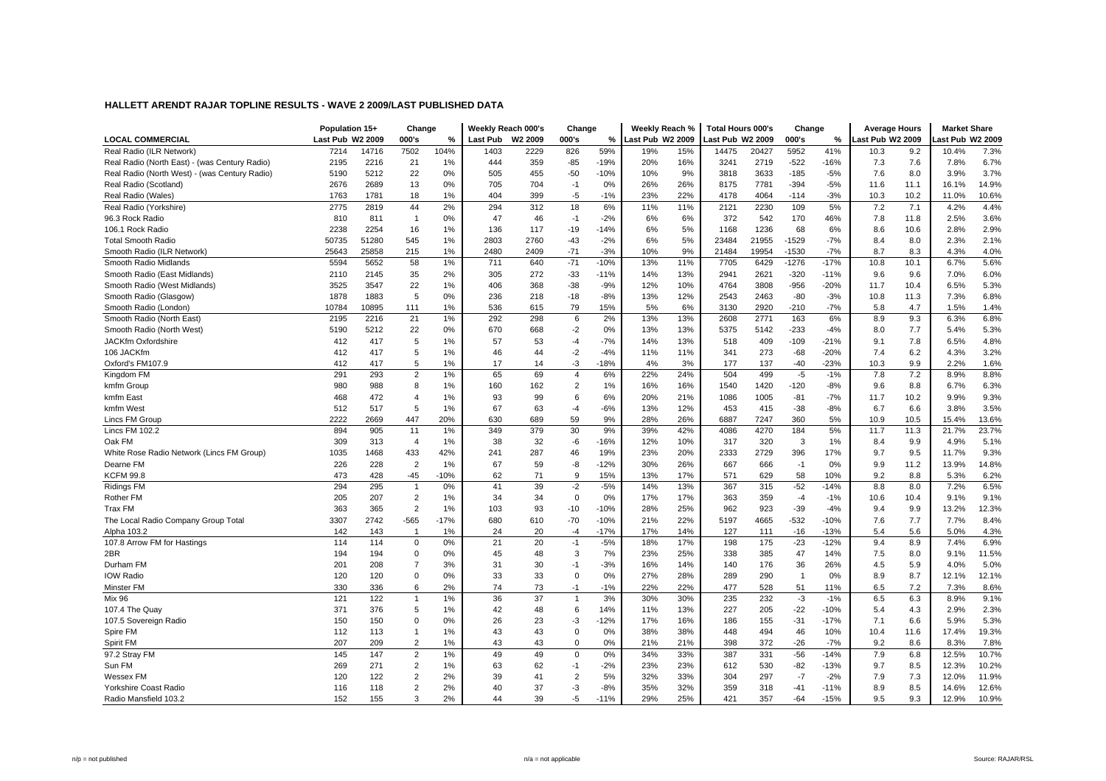|                                               | Population 15+   |       | Change         |        | Weekly Reach 000's |         | Change         |        | Weekly Reach %   |     | <b>Total Hours 000's</b> |       | Change         |        | <b>Average Hours</b> |      | <b>Market Share</b> |       |
|-----------------------------------------------|------------------|-------|----------------|--------|--------------------|---------|----------------|--------|------------------|-----|--------------------------|-------|----------------|--------|----------------------|------|---------------------|-------|
| <b>LOCAL COMMERCIAL</b>                       | Last Pub W2 2009 |       | 000's          | %      | <b>Last Pub</b>    | W2 2009 | 000's          | %      | Last Pub W2 2009 |     | Last Pub W2 2009         |       | 000's          | %      | Last Pub W2 2009     |      | ast Pub W2 2009     |       |
| Real Radio (ILR Network)                      | 7214             | 14716 | 7502           | 104%   | 1403               | 2229    | 826            | 59%    | 19%              | 15% | 14475                    | 20427 | 5952           | 41%    | 10.3                 | 9.2  | 10.4%               | 7.3%  |
| Real Radio (North East) - (was Century Radio) | 2195             | 2216  | 21             | 1%     | 444                | 359     | $-85$          | $-19%$ | 20%              | 16% | 3241                     | 2719  | $-522$         | $-16%$ | 7.3                  | 7.6  | 7.8%                | 6.7%  |
| Real Radio (North West) - (was Century Radio) | 5190             | 5212  | 22             | 0%     | 505                | 455     | $-50$          | $-10%$ | 10%              | 9%  | 3818                     | 3633  | $-185$         | $-5%$  | 7.6                  | 8.0  | 3.9%                | 3.7%  |
| Real Radio (Scotland)                         | 2676             | 2689  | 13             | 0%     | 705                | 704     | $-1$           | 0%     | 26%              | 26% | 8175                     | 7781  | $-394$         | $-5%$  | 11.6                 | 11.1 | 16.1%               | 14.9% |
| Real Radio (Wales)                            | 1763             | 1781  | 18             | 1%     | 404                | 399     | -5             | $-1%$  | 23%              | 22% | 4178                     | 4064  | $-114$         | $-3%$  | 10.3                 | 10.2 | 11.0%               | 10.6% |
| Real Radio (Yorkshire)                        | 2775             | 2819  | 44             | 2%     | 294                | 312     | 18             | 6%     | 11%              | 11% | 2121                     | 2230  | 109            | 5%     | 7.2                  | 7.1  | 4.2%                | 4.4%  |
| 96.3 Rock Radio                               | 810              | 811   | $\overline{1}$ | 0%     | 47                 | 46      | $-1$           | $-2%$  | 6%               | 6%  | 372                      | 542   | 170            | 46%    | 7.8                  | 11.8 | 2.5%                | 3.6%  |
| 106.1 Rock Radio                              | 2238             | 2254  | 16             | 1%     | 136                | 117     | $-19$          | $-14%$ | 6%               | 5%  | 1168                     | 1236  | 68             | 6%     | 8.6                  | 10.6 | 2.8%                | 2.9%  |
| <b>Total Smooth Radio</b>                     | 50735            | 51280 | 545            | 1%     | 2803               | 2760    | $-43$          | $-2%$  | 6%               | 5%  | 23484                    | 21955 | $-1529$        | $-7%$  | 8.4                  | 8.0  | 2.3%                | 2.1%  |
| Smooth Radio (ILR Network)                    | 25643            | 25858 | 215            | 1%     | 2480               | 2409    | $-71$          | $-3%$  | 10%              | 9%  | 21484                    | 19954 | $-1530$        | $-7%$  | 8.7                  | 8.3  | 4.3%                | 4.0%  |
| Smooth Radio Midlands                         | 5594             | 5652  | 58             | 1%     | 711                | 640     | $-71$          | $-10%$ | 13%              | 11% | 7705                     | 6429  | $-1276$        | $-17%$ | 10.8                 | 10.1 | 6.7%                | 5.6%  |
| Smooth Radio (East Midlands)                  | 2110             | 2145  | 35             | 2%     | 305                | 272     | $-33$          | $-11%$ | 14%              | 13% | 2941                     | 2621  | $-320$         | $-11%$ | 9.6                  | 9.6  | 7.0%                | 6.0%  |
| Smooth Radio (West Midlands)                  | 3525             | 3547  | 22             | 1%     | 406                | 368     | $-38$          | $-9%$  | 12%              | 10% | 4764                     | 3808  | $-956$         | $-20%$ | 11.7                 | 10.4 | 6.5%                | 5.3%  |
| Smooth Radio (Glasgow)                        | 1878             | 1883  | 5              | 0%     | 236                | 218     | $-18$          | $-8%$  | 13%              | 12% | 2543                     | 2463  | $-80$          | $-3%$  | 10.8                 | 11.3 | 7.3%                | 6.8%  |
| Smooth Radio (London)                         | 10784            | 10895 | 111            | 1%     | 536                | 615     | 79             | 15%    | 5%               | 6%  | 3130                     | 2920  | $-210$         | $-7%$  | 5.8                  | 4.7  | 1.5%                | 1.4%  |
| Smooth Radio (North East)                     | 2195             | 2216  | 21             | 1%     | 292                | 298     | 6              | 2%     | 13%              | 13% | 2608                     | 2771  | 163            | 6%     | 8.9                  | 9.3  | 6.3%                | 6.8%  |
| Smooth Radio (North West)                     | 5190             | 5212  | 22             | 0%     | 670                | 668     | $-2$           | 0%     | 13%              | 13% | 5375                     | 5142  | $-233$         | $-4%$  | 8.0                  | 7.7  | 5.4%                | 5.3%  |
| <b>JACKfm Oxfordshire</b>                     | 412              | 417   | 5              | 1%     | 57                 | 53      | $-4$           | $-7%$  | 14%              | 13% | 518                      | 409   | $-109$         | $-21%$ | 9.1                  | 7.8  | 6.5%                | 4.8%  |
| 106 JACKfm                                    | 412              | 417   | 5              | 1%     | 46                 | 44      | $-2$           | $-4%$  | 11%              | 11% | 341                      | 273   | $-68$          | $-20%$ | 7.4                  | 6.2  | 4.3%                | 3.2%  |
| Oxford's FM107.9                              | 412              | 417   | 5              | 1%     | 17                 | 14      | $-3$           | $-18%$ | 4%               | 3%  | 177                      | 137   | $-40$          | $-23%$ | 10.3                 | 9.9  | 2.2%                | 1.6%  |
| Kingdom FM                                    | 291              | 293   | $\overline{2}$ | 1%     | 65                 | 69      | $\overline{4}$ | 6%     | 22%              | 24% | 504                      | 499   | $-5$           | $-1%$  | 7.8                  | 7.2  | 8.9%                | 8.8%  |
| kmfm Group                                    | 980              | 988   | 8              | 1%     | 160                | 162     | $\overline{2}$ | 1%     | 16%              | 16% | 1540                     | 1420  | $-120$         | $-8%$  | 9.6                  | 8.8  | 6.7%                | 6.3%  |
| kmfm East                                     | 468              | 472   | $\overline{4}$ | 1%     | 93                 | 99      | 6              | 6%     | 20%              | 21% | 1086                     | 1005  | $-81$          | $-7%$  | 11.7                 | 10.2 | 9.9%                | 9.3%  |
| kmfm West                                     | 512              | 517   | 5              | 1%     | 67                 | 63      | $-4$           | $-6%$  | 13%              | 12% | 453                      | 415   | $-38$          | $-8%$  | 6.7                  | 6.6  | 3.8%                | 3.5%  |
| Lincs FM Group                                | 2222             | 2669  | 447            | 20%    | 630                | 689     | 59             | 9%     | 28%              | 26% | 6887                     | 7247  | 360            | 5%     | 10.9                 | 10.5 | 15.4%               | 13.6% |
| <b>Lincs FM 102.2</b>                         | 894              | 905   | 11             | 1%     | 349                | 379     | 30             | 9%     | 39%              | 42% | 4086                     | 4270  | 184            | 5%     | 11.7                 | 11.3 | 21.7%               | 23.7% |
| Oak FM                                        | 309              | 313   | $\overline{4}$ | 1%     | 38                 | 32      | -6             | $-16%$ | 12%              | 10% | 317                      | 320   | 3              | 1%     | 8.4                  | 9.9  | 4.9%                | 5.1%  |
| White Rose Radio Network (Lincs FM Group)     | 1035             | 1468  | 433            | 42%    | 241                | 287     | 46             | 19%    | 23%              | 20% | 2333                     | 2729  | 396            | 17%    | 9.7                  | 9.5  | 11.7%               | 9.3%  |
| Dearne FM                                     | 226              | 228   | $\overline{2}$ | 1%     | 67                 | 59      | -8             | $-12%$ | 30%              | 26% | 667                      | 666   | $-1$           | 0%     | 9.9                  | 11.2 | 13.9%               | 14.8% |
| <b>KCFM 99.8</b>                              | 473              | 428   | $-45$          | $-10%$ | 62                 | 71      | 9              | 15%    | 13%              | 17% | 571                      | 629   | 58             | 10%    | 9.2                  | 8.8  | 5.3%                | 6.2%  |
| <b>Ridings FM</b>                             | 294              | 295   | $\overline{1}$ | 0%     | 41                 | 39      | $-2$           | $-5%$  | 14%              | 13% | 367                      | 315   | $-52$          | $-14%$ | 8.8                  | 8.0  | 7.2%                | 6.5%  |
| <b>Rother FM</b>                              | 205              | 207   | $\overline{2}$ | 1%     | 34                 | 34      | $\mathbf 0$    | 0%     | 17%              | 17% | 363                      | 359   | $-4$           | $-1%$  | 10.6                 | 10.4 | 9.1%                | 9.1%  |
| <b>Trax FM</b>                                | 363              | 365   | $\overline{2}$ | 1%     | 103                | 93      | $-10$          | $-10%$ | 28%              | 25% | 962                      | 923   | $-39$          | $-4%$  | 9.4                  | 9.9  | 13.2%               | 12.3% |
| The Local Radio Company Group Total           | 3307             | 2742  | $-565$         | $-17%$ | 680                | 610     | $-70$          | $-10%$ | 21%              | 22% | 5197                     | 4665  | $-532$         | $-10%$ | 7.6                  | 7.7  | 7.7%                | 8.4%  |
| Alpha 103.2                                   | 142              | 143   | $\mathbf{1}$   | 1%     | 24                 | 20      | $-4$           | $-17%$ | 17%              | 14% | 127                      | 111   | $-16$          | $-13%$ | 5.4                  | 5.6  | 5.0%                | 4.3%  |
| 107.8 Arrow FM for Hastings                   | 114              | 114   | $\mathbf 0$    | 0%     | 21                 | 20      | $-1$           | $-5%$  | 18%              | 17% | 198                      | 175   | $-23$          | $-12%$ | 9.4                  | 8.9  | 7.4%                | 6.9%  |
| 2BR                                           | 194              | 194   | $\mathbf 0$    | 0%     | 45                 | 48      | 3              | 7%     | 23%              | 25% | 338                      | 385   | 47             | 14%    | 7.5                  | 8.0  | 9.1%                | 11.5% |
| Durham FM                                     | 201              | 208   | $\overline{7}$ | 3%     | 31                 | 30      | $-1$           | $-3%$  | 16%              | 14% | 140                      | 176   | 36             | 26%    | 4.5                  | 5.9  | 4.0%                | 5.0%  |
| <b>IOW Radio</b>                              | 120              | 120   | $\mathbf 0$    | 0%     | 33                 | 33      | $\Omega$       | 0%     | 27%              | 28% | 289                      | 290   | $\overline{1}$ | 0%     | 8.9                  | 8.7  | 12.1%               | 12.1% |
| Minster FM                                    | 330              | 336   | 6              | 2%     | 74                 | 73      | $-1$           | $-1%$  | 22%              | 22% | 477                      | 528   | 51             | 11%    | 6.5                  | 7.2  | 7.3%                | 8.6%  |
| <b>Mix 96</b>                                 | 121              | 122   | $\mathbf{1}$   | 1%     | 36                 | 37      | $\overline{1}$ | 3%     | 30%              | 30% | 235                      | 232   | $-3$           | $-1%$  | 6.5                  | 6.3  | 8.9%                | 9.1%  |
| 107.4 The Quay                                | 371              | 376   | 5              | 1%     | 42                 | 48      | 6              | 14%    | 11%              | 13% | 227                      | 205   | $-22$          | $-10%$ | 5.4                  | 4.3  | 2.9%                | 2.3%  |
| 107.5 Sovereign Radio                         | 150              | 150   | $\mathbf 0$    | 0%     | 26                 | 23      | $-3$           | $-12%$ | 17%              | 16% | 186                      | 155   | $-31$          | $-17%$ | 7.1                  | 6.6  | 5.9%                | 5.3%  |
| Spire FM                                      | 112              | 113   | $\mathbf{1}$   | 1%     | 43                 | 43      | $\Omega$       | 0%     | 38%              | 38% | 448                      | 494   | 46             | 10%    | 10.4                 | 11.6 | 17.4%               | 19.3% |
| Spirit FM                                     | 207              | 209   | $\overline{2}$ | 1%     | 43                 | 43      | $\Omega$       | 0%     | 21%              | 21% | 398                      | 372   | $-26$          | $-7%$  | 9.2                  | 8.6  | 8.3%                | 7.8%  |
| 97.2 Stray FM                                 | 145              | 147   | $\overline{2}$ | 1%     | 49                 | 49      | $\Omega$       | 0%     | 34%              | 33% | 387                      | 331   | $-56$          | $-14%$ | 7.9                  | 6.8  | 12.5%               | 10.7% |
| Sun FM                                        | 269              | 271   | $\overline{2}$ | 1%     | 63                 | 62      | $-1$           | $-2%$  | 23%              | 23% | 612                      | 530   | $-82$          | $-13%$ | 9.7                  | 8.5  | 12.3%               | 10.2% |
| Wessex FM                                     | 120              | 122   | $\overline{2}$ | 2%     | 39                 | 41      | $\overline{2}$ | 5%     | 32%              | 33% | 304                      | 297   | $-7$           | $-2%$  | 7.9                  | 7.3  | 12.0%               | 11.9% |
| Yorkshire Coast Radio                         | 116              | 118   | $\overline{2}$ | 2%     | 40                 | 37      | $-3$           | $-8%$  | 35%              | 32% | 359                      | 318   | $-41$          | $-11%$ | 8.9                  | 8.5  | 14.6%               | 12.6% |
| Radio Mansfield 103.2                         | 152              | 155   | 3              | 2%     | 44                 | 39      | $-5$           | $-11%$ | 29%              | 25% | 421                      | 357   | $-64$          | $-15%$ | 9.5                  | 9.3  | 12.9%               | 10.9% |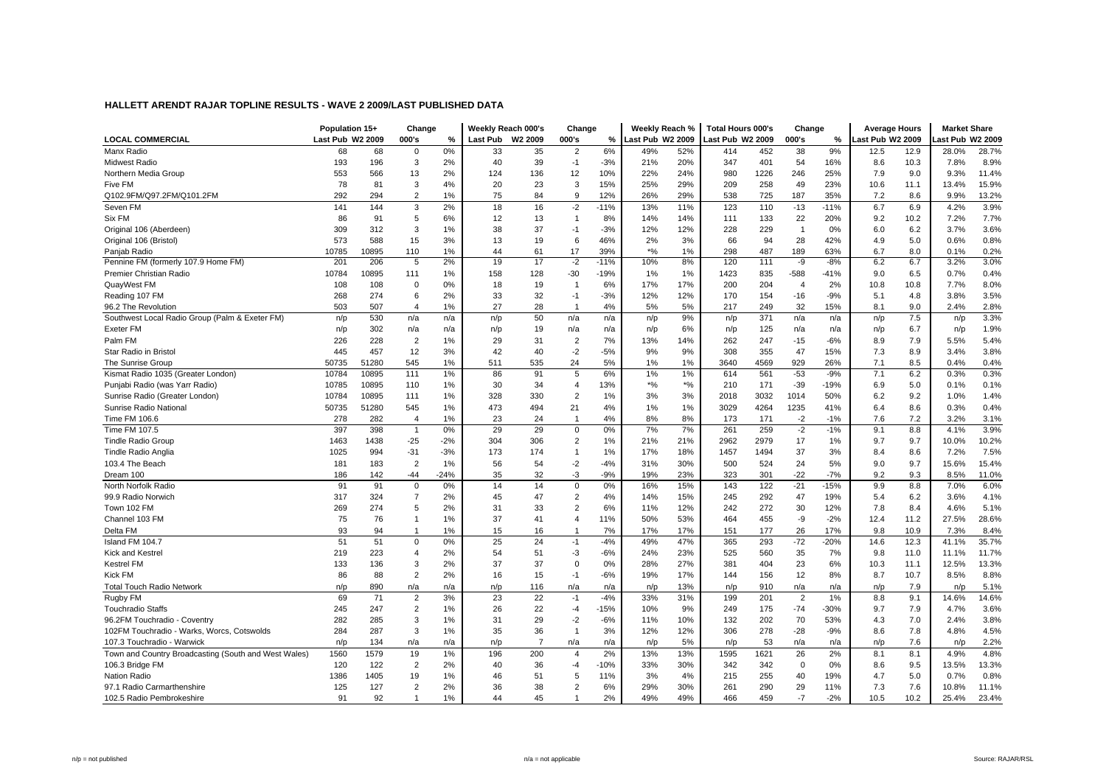|                                                      | Population 15+   |       | Change         |        |          | Weekly Reach 000's | Change         |        | Weekly Reach %   |       | <b>Total Hours 000's</b> |      | Change         |        | <b>Average Hours</b> |      | <b>Market Share</b> |       |
|------------------------------------------------------|------------------|-------|----------------|--------|----------|--------------------|----------------|--------|------------------|-------|--------------------------|------|----------------|--------|----------------------|------|---------------------|-------|
| <b>LOCAL COMMERCIAL</b>                              | Last Pub W2 2009 |       | 000's          | %      | Last Pub | W2 2009            | 000's          | %      | Last Pub W2 2009 |       | Last Pub W2 2009         |      | 000's          | %      | ast Pub W2 2009      |      | ast Pub W2 2009     |       |
| Manx Radio                                           | 68               | 68    | $\Omega$       | 0%     | 33       | 35                 | $\overline{2}$ | 6%     | 49%              | 52%   | 414                      | 452  | 38             | 9%     | 12.5                 | 12.9 | 28.0%               | 28.7% |
| Midwest Radio                                        | 193              | 196   | 3              | 2%     | 40       | 39                 | $-1$           | $-3%$  | 21%              | 20%   | 347                      | 401  | 54             | 16%    | 8.6                  | 10.3 | 7.8%                | 8.9%  |
| Northern Media Group                                 | 553              | 566   | 13             | 2%     | 124      | 136                | 12             | 10%    | 22%              | 24%   | 980                      | 1226 | 246            | 25%    | 7.9                  | 9.0  | 9.3%                | 11.4% |
| Five FM                                              | 78               | 81    | 3              | 4%     | 20       | 23                 | 3              | 15%    | 25%              | 29%   | 209                      | 258  | 49             | 23%    | 10.6                 | 11.1 | 13.4%               | 15.9% |
| Q102.9FM/Q97.2FM/Q101.2FM                            | 292              | 294   | $\overline{2}$ | 1%     | 75       | 84                 | 9              | 12%    | 26%              | 29%   | 538                      | 725  | 187            | 35%    | 7.2                  | 8.6  | 9.9%                | 13.2% |
| Seven FM                                             | 141              | 144   | 3              | 2%     | 18       | 16                 | $-2$           | $-11%$ | 13%              | 11%   | 123                      | 110  | $-13$          | $-11%$ | 6.7                  | 6.9  | 4.2%                | 3.9%  |
| Six FM                                               | 86               | 91    | 5              | 6%     | 12       | 13                 | $\overline{1}$ | 8%     | 14%              | 14%   | 111                      | 133  | 22             | 20%    | 9.2                  | 10.2 | 7.2%                | 7.7%  |
| Original 106 (Aberdeen)                              | 309              | 312   | 3              | 1%     | 38       | 37                 | $-1$           | $-3%$  | 12%              | 12%   | 228                      | 229  | $\overline{1}$ | 0%     | 6.0                  | 6.2  | 3.7%                | 3.6%  |
| Original 106 (Bristol)                               | 573              | 588   | 15             | 3%     | 13       | 19                 | 6              | 46%    | 2%               | 3%    | 66                       | 94   | 28             | 42%    | 4.9                  | 5.0  | 0.6%                | 0.8%  |
| Panjab Radio                                         | 10785            | 10895 | 110            | 1%     | 44       | 61                 | 17             | 39%    | $*$ %            | 1%    | 298                      | 487  | 189            | 63%    | 6.7                  | 8.0  | 0.1%                | 0.2%  |
| Pennine FM (formerly 107.9 Home FM)                  | 201              | 206   | 5              | 2%     | 19       | 17                 | $-2$           | $-11%$ | 10%              | 8%    | 120                      | 111  | -9             | $-8%$  | 6.2                  | 6.7  | 3.2%                | 3.0%  |
| Premier Christian Radio                              | 10784            | 10895 | 111            | 1%     | 158      | 128                | $-30$          | $-19%$ | 1%               | 1%    | 1423                     | 835  | $-588$         | $-41%$ | 9.0                  | 6.5  | 0.7%                | 0.4%  |
| QuayWest FM                                          | 108              | 108   | $\mathbf 0$    | 0%     | 18       | 19                 | -1             | 6%     | 17%              | 17%   | 200                      | 204  | $\overline{4}$ | 2%     | 10.8                 | 10.8 | 7.7%                | 8.0%  |
| Reading 107 FM                                       | 268              | 274   | 6              | 2%     | 33       | 32                 | $-1$           | $-3%$  | 12%              | 12%   | 170                      | 154  | $-16$          | $-9%$  | 5.1                  | 4.8  | 3.8%                | 3.5%  |
| 96.2 The Revolution                                  | 503              | 507   | $\overline{4}$ | 1%     | 27       | 28                 | $\overline{1}$ | 4%     | 5%               | 5%    | 217                      | 249  | 32             | 15%    | 8.1                  | 9.0  | 2.4%                | 2.8%  |
| Southwest Local Radio Group (Palm & Exeter FM)       | n/p              | 530   | n/a            | n/a    | n/p      | 50                 | n/a            | n/a    | n/p              | 9%    | n/p                      | 371  | n/a            | n/a    | n/p                  | 7.5  | n/p                 | 3.3%  |
| <b>Exeter FM</b>                                     | n/p              | 302   | n/a            | n/a    | n/p      | 19                 | n/a            | n/a    | n/p              | 6%    | n/p                      | 125  | n/a            | n/a    | n/p                  | 6.7  | n/p                 | 1.9%  |
| Palm FM                                              | 226              | 228   | $\overline{2}$ | 1%     | 29       | 31                 | $\overline{2}$ | 7%     | 13%              | 14%   | 262                      | 247  | $-15$          | $-6%$  | 8.9                  | 7.9  | 5.5%                | 5.4%  |
| Star Radio in Bristol                                | 445              | 457   | 12             | 3%     | 42       | 40                 | $-2$           | $-5%$  | 9%               | 9%    | 308                      | 355  | 47             | 15%    | 7.3                  | 8.9  | 3.4%                | 3.8%  |
| The Sunrise Group                                    | 50735            | 51280 | 545            | 1%     | 511      | 535                | 24             | 5%     | 1%               | 1%    | 3640                     | 4569 | 929            | 26%    | 7.1                  | 8.5  | 0.4%                | 0.4%  |
| Kismat Radio 1035 (Greater London)                   | 10784            | 10895 | 111            | 1%     | 86       | 91                 | 5              | 6%     | 1%               | 1%    | 614                      | 561  | $-53$          | $-9%$  | 7.1                  | 6.2  | 0.3%                | 0.3%  |
| Punjabi Radio (was Yarr Radio)                       | 10785            | 10895 | 110            | 1%     | 30       | 34                 | $\overline{4}$ | 13%    | $*$ %            | $*$ % | 210                      | 171  | $-39$          | $-19%$ | 6.9                  | 5.0  | 0.1%                | 0.1%  |
| Sunrise Radio (Greater London)                       | 10784            | 10895 | 111            | 1%     | 328      | 330                | $\overline{2}$ | 1%     | 3%               | 3%    | 2018                     | 3032 | 1014           | 50%    | 6.2                  | 9.2  | 1.0%                | 1.4%  |
| Sunrise Radio National                               | 50735            | 51280 | 545            | 1%     | 473      | 494                | 21             | 4%     | 1%               | 1%    | 3029                     | 4264 | 1235           | 41%    | 6.4                  | 8.6  | 0.3%                | 0.4%  |
| Time FM 106.6                                        | 278              | 282   | $\overline{4}$ | 1%     | 23       | 24                 | $\overline{1}$ | 4%     | 8%               | 8%    | 173                      | 171  | $-2$           | $-1%$  | 7.6                  | 7.2  | 3.2%                | 3.1%  |
| Time FM 107.5                                        | 397              | 398   | $\overline{1}$ | 0%     | 29       | 29                 | $\Omega$       | 0%     | 7%               | 7%    | 261                      | 259  | $-2$           | $-1%$  | 9.1                  | 8.8  | 4.1%                | 3.9%  |
| <b>Tindle Radio Group</b>                            | 1463             | 1438  | $-25$          | $-2%$  | 304      | 306                | $\overline{2}$ | 1%     | 21%              | 21%   | 2962                     | 2979 | 17             | 1%     | 9.7                  | 9.7  | 10.0%               | 10.2% |
| <b>Tindle Radio Anglia</b>                           | 1025             | 994   | $-31$          | $-3%$  | 173      | 174                | $\overline{1}$ | 1%     | 17%              | 18%   | 1457                     | 1494 | 37             | 3%     | 8.4                  | 8.6  | 7.2%                | 7.5%  |
| 103.4 The Beach                                      | 181              | 183   | $\overline{2}$ | 1%     | 56       | 54                 | $-2$           | $-4%$  | 31%              | 30%   | 500                      | 524  | 24             | 5%     | 9.0                  | 9.7  | 15.6%               | 15.4% |
| Dream 100                                            | 186              | 142   | $-44$          | $-24%$ | 35       | 32                 | -3             | $-9%$  | 19%              | 23%   | 323                      | 301  | $-22$          | $-7%$  | 9.2                  | 9.3  | 8.5%                | 11.0% |
| North Norfolk Radio                                  | 91               | 91    | $\mathsf 0$    | 0%     | 14       | 14                 | $\Omega$       | 0%     | 16%              | 15%   | 143                      | 122  | $-21$          | $-15%$ | 9.9                  | 8.8  | 7.0%                | 6.0%  |
| 99.9 Radio Norwich                                   | 317              | 324   | $\overline{7}$ | 2%     | 45       | 47                 | 2              | 4%     | 14%              | 15%   | 245                      | 292  | 47             | 19%    | 5.4                  | 6.2  | 3.6%                | 4.1%  |
| Town 102 FM                                          | 269              | 274   | 5              | 2%     | 31       | 33                 | $\overline{2}$ | 6%     | 11%              | 12%   | 242                      | 272  | 30             | 12%    | 7.8                  | 8.4  | 4.6%                | 5.1%  |
| Channel 103 FM                                       | 75               | 76    | $\mathbf{1}$   | 1%     | 37       | 41                 | $\overline{4}$ | 11%    | 50%              | 53%   | 464                      | 455  | -9             | $-2%$  | 12.4                 | 11.2 | 27.5%               | 28.6% |
| Delta FM                                             | 93               | 94    | $\mathbf 1$    | 1%     | 15       | 16                 | -1             | 7%     | 17%              | 17%   | 151                      | 177  | 26             | 17%    | 9.8                  | 10.9 | 7.3%                | 8.4%  |
| Island FM 104.7                                      | 51               | 51    | $\Omega$       | 0%     | 25       | 24                 | $-1$           | $-4%$  | 49%              | 47%   | 365                      | 293  | $-72$          | $-20%$ | 14.6                 | 12.3 | 41.1%               | 35.7% |
| <b>Kick and Kestrel</b>                              | 219              | 223   | $\overline{4}$ | 2%     | 54       | 51                 | $-3$           | $-6%$  | 24%              | 23%   | 525                      | 560  | 35             | 7%     | 9.8                  | 11.0 | 11.1%               | 11.7% |
| <b>Kestrel FM</b>                                    | 133              | 136   | 3              | 2%     | 37       | 37                 | $\mathbf 0$    | 0%     | 28%              | 27%   | 381                      | 404  | 23             | 6%     | 10.3                 | 11.1 | 12.5%               | 13.3% |
| <b>Kick FM</b>                                       | 86               | 88    | $\overline{2}$ | 2%     | 16       | 15                 | $-1$           | $-6%$  | 19%              | 17%   | 144                      | 156  | 12             | 8%     | 8.7                  | 10.7 | 8.5%                | 8.8%  |
| <b>Total Touch Radio Network</b>                     | n/p              | 890   | n/a            | n/a    | n/p      | 116                | n/a            | n/a    | n/p              | 13%   | n/p                      | 910  | n/a            | n/a    | n/p                  | 7.9  | n/p                 | 5.1%  |
| Rugby FM                                             | 69               | 71    | $\overline{2}$ | 3%     | 23       | 22                 | $-1$           | $-4%$  | 33%              | 31%   | 199                      | 201  | $\overline{2}$ | 1%     | 8.8                  | 9.1  | 14.6%               | 14.6% |
| <b>Touchradio Staffs</b>                             | 245              | 247   | $\overline{2}$ | 1%     | 26       | 22                 | $-4$           | $-15%$ | 10%              | 9%    | 249                      | 175  | $-74$          | $-30%$ | 9.7                  | 7.9  | 4.7%                | 3.6%  |
| 96.2FM Touchradio - Coventry                         | 282              | 285   | 3              | 1%     | 31       | 29                 | $-2$           | $-6%$  | 11%              | 10%   | 132                      | 202  | 70             | 53%    | 4.3                  | 7.0  | 2.4%                | 3.8%  |
| 102FM Touchradio - Warks, Worcs, Cotswolds           | 284              | 287   | 3              | 1%     | 35       | 36                 | $\overline{1}$ | 3%     | 12%              | 12%   | 306                      | 278  | $-28$          | $-9%$  | 8.6                  | 7.8  | 4.8%                | 4.5%  |
| 107.3 Touchradio - Warwick                           | n/p              | 134   | n/a            | n/a    | n/p      | $\overline{7}$     | n/a            | n/a    | n/p              | 5%    | n/p                      | 53   | n/a            | n/a    | n/p                  | 7.6  | n/p                 | 2.2%  |
| Town and Country Broadcasting (South and West Wales) | 1560             | 1579  | 19             | 1%     | 196      | 200                | $\overline{4}$ | 2%     | 13%              | 13%   | 1595                     | 1621 | 26             | 2%     | 8.1                  | 8.1  | 4.9%                | 4.8%  |
| 106.3 Bridge FM                                      | 120              | 122   | $\overline{2}$ | 2%     | 40       | 36                 | $-4$           | $-10%$ | 33%              | 30%   | 342                      | 342  | $\Omega$       | 0%     | 8.6                  | 9.5  | 13.5%               | 13.3% |
| <b>Nation Radio</b>                                  | 1386             | 1405  | 19             | 1%     | 46       | 51                 | 5              | 11%    | 3%               | 4%    | 215                      | 255  | 40             | 19%    | 4.7                  | 5.0  | 0.7%                | 0.8%  |
| 97.1 Radio Carmarthenshire                           | 125              | 127   | $\overline{2}$ | 2%     | 36       | 38                 | $\overline{2}$ | 6%     | 29%              | 30%   | 261                      | 290  | 29             | 11%    | 7.3                  | 7.6  | 10.8%               | 11.1% |
|                                                      | 91               | 92    | $\mathbf{1}$   | 1%     |          | 45                 |                |        | 49%              | 49%   | 466                      | 459  | $-7$           |        |                      |      |                     |       |
| 102.5 Radio Pembrokeshire                            |                  |       |                |        | 44       |                    |                | 2%     |                  |       |                          |      |                | $-2%$  | 10.5                 | 10.2 | 25.4%               | 23.4% |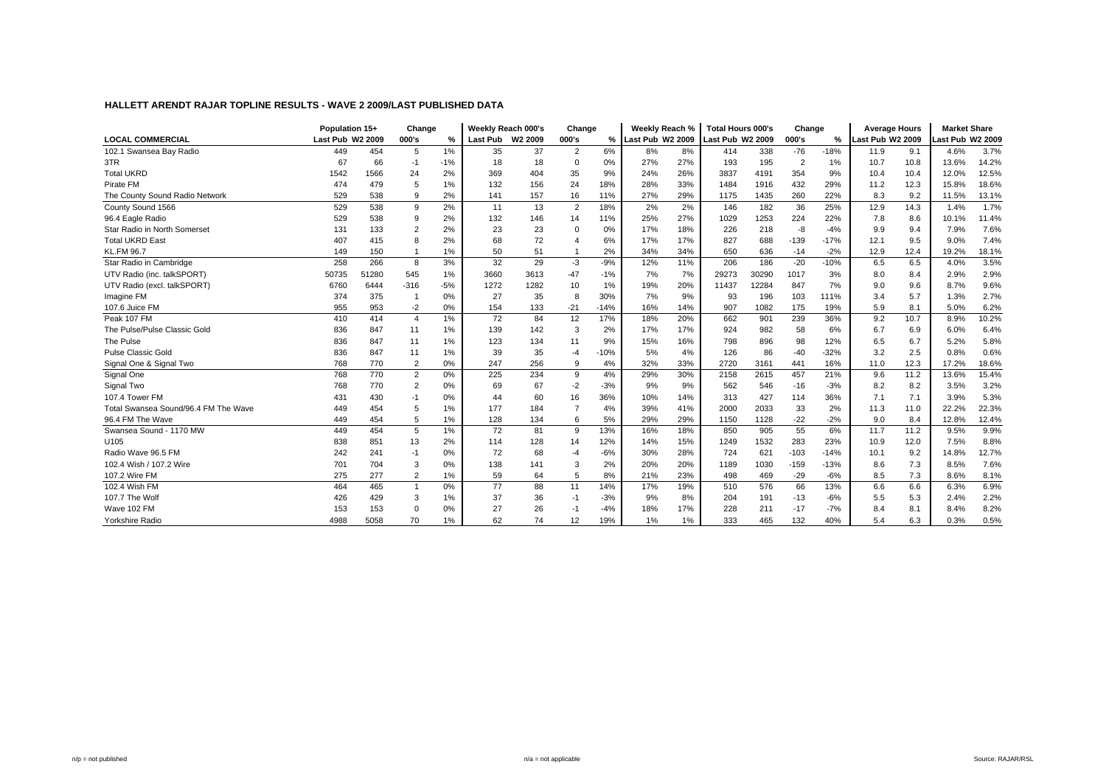|                                      | Population 15+   |       | Change         |       |                 | Weekly Reach 000's  | Change         |        | Weekly Reach %     |     | <b>Total Hours 000's</b> |       | Change         |        | <b>Average Hours</b> |      | <b>Market Share</b> |       |
|--------------------------------------|------------------|-------|----------------|-------|-----------------|---------------------|----------------|--------|--------------------|-----|--------------------------|-------|----------------|--------|----------------------|------|---------------------|-------|
| <b>LOCAL COMMERCIAL</b>              | Last Pub W2 2009 |       | 000's          | %     | <b>Last Pub</b> | W <sub>2</sub> 2009 | 000's          |        | % Last Pub W2 2009 |     | Last Pub W2 2009         |       | 000's          | ℅      | Last Pub W2 2009     |      | ast Pub W2 2009     |       |
| 102.1 Swansea Bay Radio              | 449              | 454   | 5              | 1%    | 35              | 37                  | $\overline{2}$ | 6%     | 8%                 | 8%  | 414                      | 338   | $-76$          | $-18%$ | 11.9                 | 9.1  | 4.6%                | 3.7%  |
| 3TR                                  | 67               | 66    | $-1$           | $-1%$ | 18              | 18                  | $\Omega$       | 0%     | 27%                | 27% | 193                      | 195   | $\overline{2}$ | 1%     | 10.7                 | 10.8 | 13.6%               | 14.2% |
| <b>Total UKRD</b>                    | 1542             | 1566  | 24             | 2%    | 369             | 404                 | 35             | 9%     | 24%                | 26% | 3837                     | 4191  | 354            | 9%     | 10.4                 | 10.4 | 12.0%               | 12.5% |
| Pirate FM                            | 474              | 479   | 5              | 1%    | 132             | 156                 | 24             | 18%    | 28%                | 33% | 1484                     | 1916  | 432            | 29%    | 11.2                 | 12.3 | 15.8%               | 18.6% |
| The County Sound Radio Network       | 529              | 538   | 9              | 2%    | 141             | 157                 | 16             | 11%    | 27%                | 29% | 1175                     | 1435  | 260            | 22%    | 8.3                  | 9.2  | 11.5%               | 13.1% |
| County Sound 1566                    | 529              | 538   | 9              | 2%    | 11              | 13                  | $\overline{2}$ | 18%    | 2%                 | 2%  | 146                      | 182   | 36             | 25%    | 12.9                 | 14.3 | 1.4%                | 1.7%  |
| 96.4 Eagle Radio                     | 529              | 538   | 9              | 2%    | 132             | 146                 | 14             | 11%    | 25%                | 27% | 1029                     | 1253  | 224            | 22%    | 7.8                  | 8.6  | 10.1%               | 11.4% |
| Star Radio in North Somerset         | 131              | 133   | $\overline{2}$ | 2%    | 23              | 23                  | $\Omega$       | 0%     | 17%                | 18% | 226                      | 218   | $-8$           | $-4%$  | 9.9                  | 9.4  | 7.9%                | 7.6%  |
| <b>Total UKRD East</b>               | 407              | 415   | 8              | 2%    | 68              | 72                  |                | 6%     | 17%                | 17% | 827                      | 688   | $-139$         | $-17%$ | 12.1                 | 9.5  | 9.0%                | 7.4%  |
| <b>KL.FM 96.7</b>                    | 149              | 150   |                | 1%    | 50              | 51                  |                | 2%     | 34%                | 34% | 650                      | 636   | $-14$          | $-2%$  | 12.9                 | 12.4 | 19.2%               | 18.1% |
| Star Radio in Cambridge              | 258              | 266   | 8              | 3%    | 32              | 29                  | $-3$           | $-9%$  | 12%                | 11% | 206                      | 186   | $-20$          | $-10%$ | 6.5                  | 6.5  | 4.0%                | 3.5%  |
| UTV Radio (inc. talkSPORT)           | 50735            | 51280 | 545            | 1%    | 3660            | 3613                | $-47$          | $-1%$  | 7%                 | 7%  | 29273                    | 30290 | 1017           | 3%     | 8.0                  | 8.4  | 2.9%                | 2.9%  |
| UTV Radio (excl. talkSPORT)          | 6760             | 6444  | $-316$         | $-5%$ | 1272            | 1282                | 10             | 1%     | 19%                | 20% | 11437                    | 12284 | 847            | 7%     | 9.0                  | 9.6  | 8.7%                | 9.6%  |
| Imagine FM                           | 374              | 375   |                | 0%    | 27              | 35                  | 8              | 30%    | 7%                 | 9%  | 93                       | 196   | 103            | 111%   | 3.4                  | 5.7  | 1.3%                | 2.7%  |
| 107.6 Juice FM                       | 955              | 953   | $-2$           | 0%    | 154             | 133                 | $-21$          | $-14%$ | 16%                | 14% | 907                      | 1082  | 175            | 19%    | 5.9                  | 8.1  | 5.0%                | 6.2%  |
| Peak 107 FM                          | 410              | 414   | $\overline{4}$ | 1%    | 72              | 84                  | 12             | 17%    | 18%                | 20% | 662                      | 901   | 239            | 36%    | 9.2                  | 10.7 | 8.9%                | 10.2% |
| The Pulse/Pulse Classic Gold         | 836              | 847   | 11             | 1%    | 139             | 142                 | 3              | 2%     | 17%                | 17% | 924                      | 982   | 58             | 6%     | 6.7                  | 6.9  | 6.0%                | 6.4%  |
| The Pulse                            | 836              | 847   | 11             | 1%    | 123             | 134                 | 11             | 9%     | 15%                | 16% | 798                      | 896   | 98             | 12%    | 6.5                  | 6.7  | 5.2%                | 5.8%  |
| <b>Pulse Classic Gold</b>            | 836              | 847   | 11             | 1%    | 39              | 35                  | -4             | $-10%$ | 5%                 | 4%  | 126                      | 86    | $-40$          | $-32%$ | 3.2                  | 2.5  | 0.8%                | 0.6%  |
| Signal One & Signal Two              | 768              | 770   | $\overline{2}$ | 0%    | 247             | 256                 | 9              | 4%     | 32%                | 33% | 2720                     | 3161  | 441            | 16%    | 11.0                 | 12.3 | 17.2%               | 18.6% |
| Signal One                           | 768              | 770   | $\overline{2}$ | 0%    | 225             | 234                 | 9              | 4%     | 29%                | 30% | 2158                     | 2615  | 457            | 21%    | 9.6                  | 11.2 | 13.6%               | 15.4% |
| Signal Two                           | 768              | 770   | $\overline{2}$ | 0%    | 69              | 67                  | $-2$           | $-3%$  | 9%                 | 9%  | 562                      | 546   | $-16$          | $-3%$  | 8.2                  | 8.2  | 3.5%                | 3.2%  |
| 107.4 Tower FM                       | 431              | 430   | $-1$           | 0%    | 44              | 60                  | 16             | 36%    | 10%                | 14% | 313                      | 427   | 114            | 36%    | 7.1                  | 7.1  | 3.9%                | 5.3%  |
| Total Swansea Sound/96.4 FM The Wave | 449              | 454   | 5              | 1%    | 177             | 184                 |                | 4%     | 39%                | 41% | 2000                     | 2033  | 33             | 2%     | 11.3                 | 11.0 | 22.2%               | 22.3% |
| 96.4 FM The Wave                     | 449              | 454   | 5              | 1%    | 128             | 134                 | 6              | 5%     | 29%                | 29% | 1150                     | 1128  | $-22$          | $-2%$  | 9.0                  | 8.4  | 12.8%               | 12.4% |
| Swansea Sound - 1170 MW              | 449              | 454   | 5              | 1%    | 72              | 81                  | 9              | 13%    | 16%                | 18% | 850                      | 905   | 55             | 6%     | 11.7                 | 11.2 | 9.5%                | 9.9%  |
| U105                                 | 838              | 851   | 13             | 2%    | 114             | 128                 | 14             | 12%    | 14%                | 15% | 1249                     | 1532  | 283            | 23%    | 10.9                 | 12.0 | 7.5%                | 8.8%  |
| Radio Wave 96.5 FM                   | 242              | 241   | $-1$           | 0%    | 72              | 68                  | $-4$           | $-6%$  | 30%                | 28% | 724                      | 621   | $-103$         | $-14%$ | 10.1                 | 9.2  | 14.8%               | 12.7% |
| 102.4 Wish / 107.2 Wire              | 701              | 704   | 3              | 0%    | 138             | 141                 | 3              | 2%     | 20%                | 20% | 1189                     | 1030  | $-159$         | $-13%$ | 8.6                  | 7.3  | 8.5%                | 7.6%  |
| 107.2 Wire FM                        | 275              | 277   | $\overline{2}$ | 1%    | 59              | 64                  | 5              | 8%     | 21%                | 23% | 498                      | 469   | $-29$          | $-6%$  | 8.5                  | 7.3  | 8.6%                | 8.1%  |
| 102.4 Wish FM                        | 464              | 465   | $\mathbf{1}$   | 0%    | 77              | 88                  | 11             | 14%    | 17%                | 19% | 510                      | 576   | 66             | 13%    | 6.6                  | 6.6  | 6.3%                | 6.9%  |
| 107.7 The Wolf                       | 426              | 429   | 3              | 1%    | 37              | 36                  | $-1$           | $-3%$  | 9%                 | 8%  | 204                      | 191   | $-13$          | $-6%$  | 5.5                  | 5.3  | 2.4%                | 2.2%  |
| Wave 102 FM                          | 153              | 153   | $\mathbf 0$    | 0%    | 27              | 26                  | $-1$           | $-4%$  | 18%                | 17% | 228                      | 211   | $-17$          | $-7%$  | 8.4                  | 8.1  | 8.4%                | 8.2%  |
| Yorkshire Radio                      | 4988             | 5058  | 70             | 1%    | 62              | 74                  | 12             | 19%    | 1%                 | 1%  | 333                      | 465   | 132            | 40%    | 5.4                  | 6.3  | 0.3%                | 0.5%  |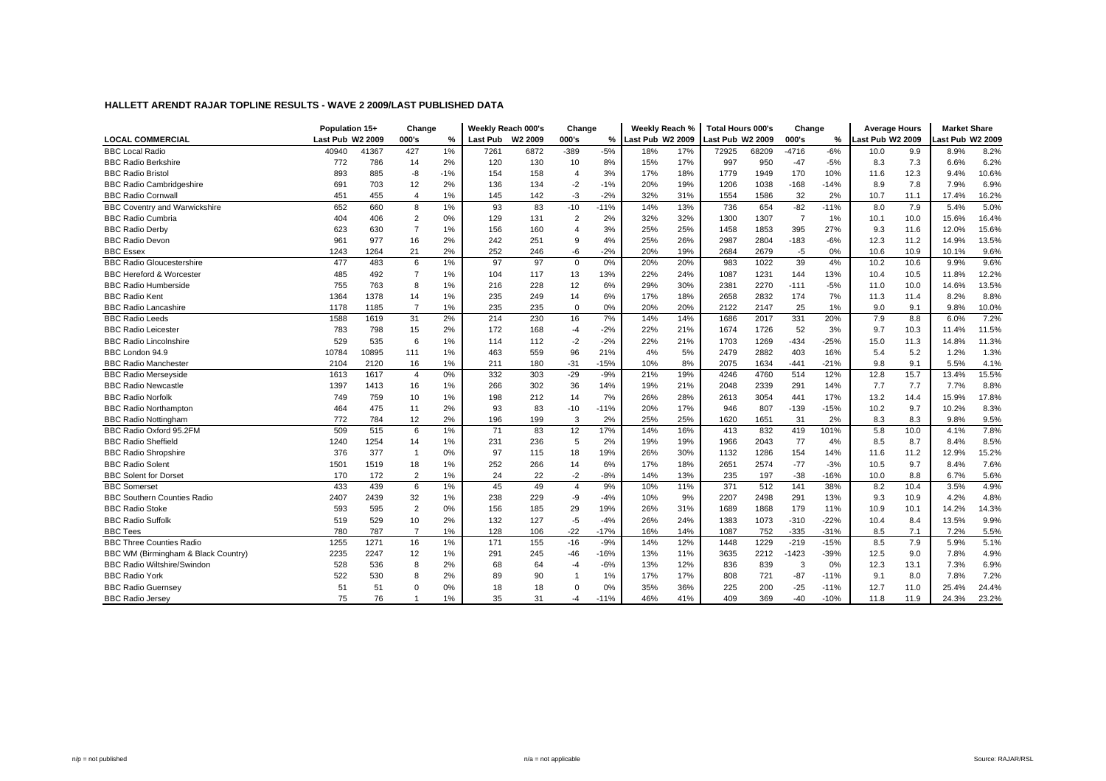|                                      | Population 15+   |       | Change         |               |                 | Weekly Reach 000's | Change                  |               | Weekly Reach %   |     | <b>Total Hours 000's</b> |       | Change         |        | <b>Average Hours</b> |      | <b>Market Share</b> |       |
|--------------------------------------|------------------|-------|----------------|---------------|-----------------|--------------------|-------------------------|---------------|------------------|-----|--------------------------|-------|----------------|--------|----------------------|------|---------------------|-------|
| <b>LOCAL COMMERCIAL</b>              | Last Pub W2 2009 |       | 000's          | $\frac{0}{2}$ | <b>Last Pub</b> | W2 2009            | 000's                   | $\frac{9}{6}$ | Last Pub W2 2009 |     | ast Pub W2 2009          |       | 000's          | %      | Last Pub W2 2009     |      | ast Pub W2 2009     |       |
| <b>BBC Local Radio</b>               | 40940            | 41367 | 427            | 1%            | 7261            | 6872               | $-389$                  | $-5%$         | 18%              | 17% | 72925                    | 68209 | $-4716$        | $-6%$  | 10.0                 | 9.9  | 8.9%                | 8.2%  |
| <b>BBC Radio Berkshire</b>           | 772              | 786   | 14             | 2%            | 120             | 130                | 10                      | 8%            | 15%              | 17% | 997                      | 950   | $-47$          | $-5%$  | 8.3                  | 7.3  | 6.6%                | 6.2%  |
| <b>BBC Radio Bristol</b>             | 893              | 885   | -8             | $-1%$         | 154             | 158                | 4                       | 3%            | 17%              | 18% | 1779                     | 1949  | 170            | 10%    | 11.6                 | 12.3 | 9.4%                | 10.6% |
| <b>BBC Radio Cambridgeshire</b>      | 691              | 703   | 12             | 2%            | 136             | 134                | $-2$                    | $-1%$         | 20%              | 19% | 1206                     | 1038  | $-168$         | $-14%$ | 8.9                  | 7.8  | 7.9%                | 6.9%  |
| <b>BBC Radio Cornwall</b>            | 451              | 455   | $\overline{4}$ | 1%            | 145             | 142                | $-3$                    | $-2%$         | 32%              | 31% | 1554                     | 1586  | 32             | 2%     | 10.7                 | 11.1 | 17.4%               | 16.2% |
| <b>BBC Coventry and Warwickshire</b> | 652              | 660   | 8              | 1%            | 93              | 83                 | $-10$                   | $-11%$        | 14%              | 13% | 736                      | 654   | $-82$          | $-11%$ | 8.0                  | 7.9  | 5.4%                | 5.0%  |
| <b>BBC Radio Cumbria</b>             | 404              | 406   | $\overline{2}$ | 0%            | 129             | 131                | $\overline{2}$          | 2%            | 32%              | 32% | 1300                     | 1307  | $\overline{7}$ | 1%     | 10.1                 | 10.0 | 15.6%               | 16.4% |
| <b>BBC Radio Derby</b>               | 623              | 630   | $\overline{7}$ | 1%            | 156             | 160                | $\overline{4}$          | 3%            | 25%              | 25% | 1458                     | 1853  | 395            | 27%    | 9.3                  | 11.6 | 12.0%               | 15.6% |
| <b>BBC Radio Devon</b>               | 961              | 977   | 16             | 2%            | 242             | 251                | 9                       | 4%            | 25%              | 26% | 2987                     | 2804  | $-183$         | $-6%$  | 12.3                 | 11.2 | 14.9%               | 13.5% |
| <b>BBC Essex</b>                     | 1243             | 1264  | 21             | 2%            | 252             | 246                | $-6$                    | $-2%$         | 20%              | 19% | 2684                     | 2679  | $-5$           | 0%     | 10.6                 | 10.9 | 10.1%               | 9.6%  |
| <b>BBC Radio Gloucestershire</b>     | 477              | 483   | 6              | 1%            | 97              | 97                 | $\mathbf 0$             | 0%            | 20%              | 20% | 983                      | 1022  | 39             | 4%     | 10.2                 | 10.6 | 9.9%                | 9.6%  |
| <b>BBC Hereford &amp; Worcester</b>  | 485              | 492   | $\overline{7}$ | 1%            | 104             | 117                | 13                      | 13%           | 22%              | 24% | 1087                     | 1231  | 144            | 13%    | 10.4                 | 10.5 | 11.8%               | 12.2% |
| <b>BBC Radio Humberside</b>          | 755              | 763   | 8              | 1%            | 216             | 228                | 12                      | 6%            | 29%              | 30% | 2381                     | 2270  | $-111$         | $-5%$  | 11.0                 | 10.0 | 14.6%               | 13.5% |
| <b>BBC Radio Kent</b>                | 1364             | 1378  | 14             | 1%            | 235             | 249                | 14                      | 6%            | 17%              | 18% | 2658                     | 2832  | 174            | 7%     | 11.3                 | 11.4 | 8.2%                | 8.8%  |
| <b>BBC Radio Lancashire</b>          | 1178             | 1185  | $\overline{7}$ | 1%            | 235             | 235                | $\mathbf 0$             | 0%            | 20%              | 20% | 2122                     | 2147  | 25             | 1%     | 9.0                  | 9.1  | 9.8%                | 10.0% |
| <b>BBC Radio Leeds</b>               | 1588             | 1619  | 31             | 2%            | 214             | 230                | 16                      | 7%            | 14%              | 14% | 1686                     | 2017  | 331            | 20%    | 7.9                  | 8.8  | 6.0%                | 7.2%  |
| <b>BBC Radio Leicester</b>           | 783              | 798   | 15             | 2%            | 172             | 168                | $-4$                    | $-2%$         | 22%              | 21% | 1674                     | 1726  | 52             | 3%     | 9.7                  | 10.3 | 11.4%               | 11.5% |
| <b>BBC Radio Lincolnshire</b>        | 529              | 535   | 6              | 1%            | 114             | 112                | $-2$                    | $-2%$         | 22%              | 21% | 1703                     | 1269  | $-434$         | $-25%$ | 15.0                 | 11.3 | 14.8%               | 11.3% |
| BBC London 94.9                      | 10784            | 10895 | 111            | 1%            | 463             | 559                | 96                      | 21%           | 4%               | 5%  | 2479                     | 2882  | 403            | 16%    | 5.4                  | 5.2  | 1.2%                | 1.3%  |
| <b>BBC Radio Manchester</b>          | 2104             | 2120  | 16             | 1%            | 211             | 180                | $-31$                   | $-15%$        | 10%              | 8%  | 2075                     | 1634  | $-441$         | $-21%$ | 9.8                  | 9.1  | 5.5%                | 4.1%  |
| <b>BBC Radio Merseyside</b>          | 1613             | 1617  | $\overline{4}$ | 0%            | 332             | 303                | $-29$                   | $-9%$         | 21%              | 19% | 4246                     | 4760  | 514            | 12%    | 12.8                 | 15.7 | 13.4%               | 15.5% |
| <b>BBC Radio Newcastle</b>           | 1397             | 1413  | 16             | 1%            | 266             | 302                | 36                      | 14%           | 19%              | 21% | 2048                     | 2339  | 291            | 14%    | 7.7                  | 7.7  | 7.7%                | 8.8%  |
| <b>BBC Radio Norfolk</b>             | 749              | 759   | 10             | 1%            | 198             | 212                | 14                      | 7%            | 26%              | 28% | 2613                     | 3054  | 441            | 17%    | 13.2                 | 14.4 | 15.9%               | 17.8% |
| <b>BBC Radio Northampton</b>         | 464              | 475   | 11             | 2%            | 93              | 83                 | $-10$                   | $-11%$        | 20%              | 17% | 946                      | 807   | $-139$         | $-15%$ | 10.2                 | 9.7  | 10.2%               | 8.3%  |
| <b>BBC Radio Nottingham</b>          | 772              | 784   | 12             | 2%            | 196             | 199                | 3                       | 2%            | 25%              | 25% | 1620                     | 1651  | 31             | 2%     | 8.3                  | 8.3  | 9.8%                | 9.5%  |
| BBC Radio Oxford 95.2FM              | 509              | 515   | 6              | 1%            | 71              | 83                 | 12                      | 17%           | 14%              | 16% | 413                      | 832   | 419            | 101%   | 5.8                  | 10.0 | 4.1%                | 7.8%  |
| <b>BBC Radio Sheffield</b>           | 1240             | 1254  | 14             | 1%            | 231             | 236                | 5                       | 2%            | 19%              | 19% | 1966                     | 2043  | 77             | 4%     | 8.5                  | 8.7  | 8.4%                | 8.5%  |
| <b>BBC Radio Shropshire</b>          | 376              | 377   | $\mathbf{1}$   | 0%            | 97              | 115                | 18                      | 19%           | 26%              | 30% | 1132                     | 1286  | 154            | 14%    | 11.6                 | 11.2 | 12.9%               | 15.2% |
| <b>BBC Radio Solent</b>              | 1501             | 1519  | 18             | 1%            | 252             | 266                | 14                      | 6%            | 17%              | 18% | 2651                     | 2574  | $-77$          | $-3%$  | 10.5                 | 9.7  | 8.4%                | 7.6%  |
| <b>BBC Solent for Dorset</b>         | 170              | 172   | $\overline{2}$ | 1%            | 24              | 22                 | $-2$                    | $-8%$         | 14%              | 13% | 235                      | 197   | $-38$          | $-16%$ | 10.0                 | 8.8  | 6.7%                | 5.6%  |
| <b>BBC Somerset</b>                  | 433              | 439   | 6              | 1%            | 45              | 49                 | $\overline{\mathbf{4}}$ | 9%            | 10%              | 11% | 371                      | 512   | 141            | 38%    | 8.2                  | 10.4 | 3.5%                | 4.9%  |
| <b>BBC Southern Counties Radio</b>   | 2407             | 2439  | 32             | 1%            | 238             | 229                | -9                      | $-4%$         | 10%              | 9%  | 2207                     | 2498  | 291            | 13%    | 9.3                  | 10.9 | 4.2%                | 4.8%  |
| <b>BBC Radio Stoke</b>               | 593              | 595   | $\overline{2}$ | 0%            | 156             | 185                | 29                      | 19%           | 26%              | 31% | 1689                     | 1868  | 179            | 11%    | 10.9                 | 10.1 | 14.2%               | 14.3% |
| <b>BBC Radio Suffolk</b>             | 519              | 529   | 10             | 2%            | 132             | 127                | $-5$                    | $-4%$         | 26%              | 24% | 1383                     | 1073  | $-310$         | $-22%$ | 10.4                 | 8.4  | 13.5%               | 9.9%  |
| <b>BBC Tees</b>                      | 780              | 787   | $\overline{7}$ | 1%            | 128             | 106                | $-22$                   | $-17%$        | 16%              | 14% | 1087                     | 752   | $-335$         | $-31%$ | 8.5                  | 7.1  | 7.2%                | 5.5%  |
| <b>BBC Three Counties Radio</b>      | 1255             | 1271  | 16             | 1%            | 171             | 155                | $-16$                   | $-9%$         | 14%              | 12% | 1448                     | 1229  | $-219$         | $-15%$ | 8.5                  | 7.9  | 5.9%                | 5.1%  |
| BBC WM (Birmingham & Black Country)  | 2235             | 2247  | 12             | 1%            | 291             | 245                | $-46$                   | $-16%$        | 13%              | 11% | 3635                     | 2212  | $-1423$        | $-39%$ | 12.5                 | 9.0  | 7.8%                | 4.9%  |
| <b>BBC Radio Wiltshire/Swindon</b>   | 528              | 536   | 8              | 2%            | 68              | 64                 | $-4$                    | $-6%$         | 13%              | 12% | 836                      | 839   | 3              | 0%     | 12.3                 | 13.1 | 7.3%                | 6.9%  |
| <b>BBC Radio York</b>                | 522              | 530   | 8              | 2%            | 89              | 90                 |                         | 1%            | 17%              | 17% | 808                      | 721   | $-87$          | $-11%$ | 9.1                  | 8.0  | 7.8%                | 7.2%  |
| <b>BBC Radio Guernsey</b>            | 51               | 51    | $\Omega$       | 0%            | 18              | 18                 | $\Omega$                | 0%            | 35%              | 36% | 225                      | 200   | $-25$          | $-11%$ | 12.7                 | 11.0 | 25.4%               | 24.4% |
| <b>BBC Radio Jersev</b>              | 75               | 76    | $\mathbf{1}$   | 1%            | 35              | 31                 | $-4$                    | $-11%$        | 46%              | 41% | 409                      | 369   | $-40$          | $-10%$ | 11.8                 | 11.9 | 24.3%               | 23.2% |